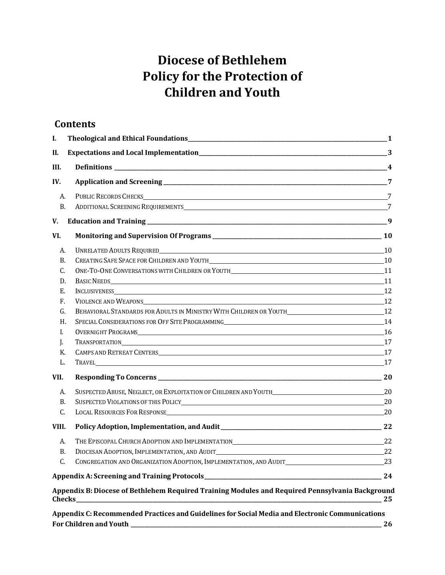# **Diocese of Bethlehem Policy for the Protection of Children and Youth**

#### **Contents**

| I.          |                                                                                                        |  |
|-------------|--------------------------------------------------------------------------------------------------------|--|
| II.         |                                                                                                        |  |
| III.        |                                                                                                        |  |
| IV.         |                                                                                                        |  |
| А.          | PUBLIC RECORDS CHECKS 27                                                                               |  |
| <b>B.</b>   |                                                                                                        |  |
| V.          |                                                                                                        |  |
| VI.         |                                                                                                        |  |
| А.          |                                                                                                        |  |
| <b>B.</b>   |                                                                                                        |  |
| C.          |                                                                                                        |  |
| D.          |                                                                                                        |  |
| Е.          |                                                                                                        |  |
| $F_{\cdot}$ | VIOLENCE AND WEAPONS 12                                                                                |  |
| G.          | BEHAVIORAL STANDARDS FOR ADULTS IN MINISTRY WITH CHILDREN OR YOUTH__________________________________12 |  |
| H.          |                                                                                                        |  |
| L.          |                                                                                                        |  |
| J.          | TRANSPORTATION 17                                                                                      |  |
| К.          |                                                                                                        |  |
| L.          |                                                                                                        |  |
| VII.        |                                                                                                        |  |
| A.          |                                                                                                        |  |
| <b>B.</b>   |                                                                                                        |  |
| C.          | LOCAL RESOURCES FOR RESPONSE 20                                                                        |  |
| VIII.       |                                                                                                        |  |
| A.          |                                                                                                        |  |
| B.          | DIOCESAN ADOPTION, IMPLEMENTATION, AND AUDIT 22                                                        |  |
| C.          | CONGREGATION AND ORGANIZATION ADOPTION, IMPLEMENTATION, AND AUDIT                                      |  |
|             |                                                                                                        |  |
|             | Appendix B: Diocese of Bethlehem Required Training Modules and Required Pennsylvania Background        |  |

**Appendix C: Recommended Practices and Guidelines for Social Media and Electronic [Communications](#page-25-0) For Children and Youth [\\_\\_\\_\\_\\_\\_\\_\\_\\_\\_\\_\\_\\_\\_\\_\\_\\_\\_\\_\\_\\_\\_\\_\\_\\_\\_\\_\\_\\_\\_\\_\\_\\_\\_\\_\\_\\_\\_\\_\\_\\_\\_\\_\\_\\_\\_\\_\\_\\_\\_\\_\\_\\_\\_\\_\\_\\_\\_\\_\\_\\_\\_\\_\\_\\_\\_\\_\\_\\_\\_\\_\\_\\_\\_\\_\\_\\_\\_\\_\\_\\_\\_\\_\\_\\_\\_\\_\\_\\_\\_\\_\\_](#page-25-0) 26**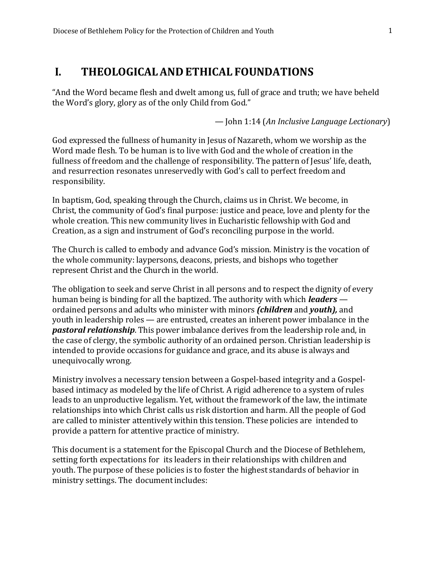## <span id="page-1-0"></span>**I. THEOLOGICALAND ETHICAL FOUNDATIONS**

"And the Word became flesh and dwelt among us, full of grace and truth; we have beheld the Word's glory, glory as of the only Child from God."

— John 1:14 (*An Inclusive Language Lectionary*)

God expressed the fullness of humanity in Jesus of Nazareth, whom we worship as the Word made flesh. To be human is to live with God and the whole of creation in the fullness of freedom and the challenge of responsibility. The pattern of Jesus' life, death, and resurrection resonates unreservedly with God's call to perfect freedom and responsibility.

In baptism, God, speaking through the Church, claims us in Christ. We become, in Christ, the community of God's final purpose: justice and peace, love and plenty for the whole creation. This new community lives in Eucharistic fellowship with God and Creation, as a sign and instrument of God's reconciling purpose in the world.

The Church is called to embody and advance God's mission. Ministry is the vocation of the whole community: laypersons, deacons, priests, and bishops who together represent Christ and the Church in the world.

The obligation to seek and serve Christ in all persons and to respect the dignity of every human being is binding for all the baptized. The authority with which *leaders* ordained persons and adults who minister with minors *(children* and *youth),* and youth in leadership roles — are entrusted, creates an inherent power imbalance in the *pastoral relationship*. This power imbalance derives from the leadership role and, in the case of clergy, the symbolic authority of an ordained person. Christian leadership is intended to provide occasions for guidance and grace, and its abuse is always and unequivocally wrong.

Ministry involves a necessary tension between a Gospel-based integrity and a Gospelbased intimacy as modeled by the life of Christ. A rigid adherence to a system of rules leads to an unproductive legalism. Yet, without the framework of the law, the intimate relationships into which Christ calls us risk distortion and harm. All the people of God are called to minister attentively within this tension. These policies are intended to provide a pattern for attentive practice of ministry.

This document is a statement for the Episcopal Church and the Diocese of Bethlehem, setting forth expectations for its leaders in their relationships with children and youth. The purpose of these policies is to foster the highest standards of behavior in ministry settings. The document includes: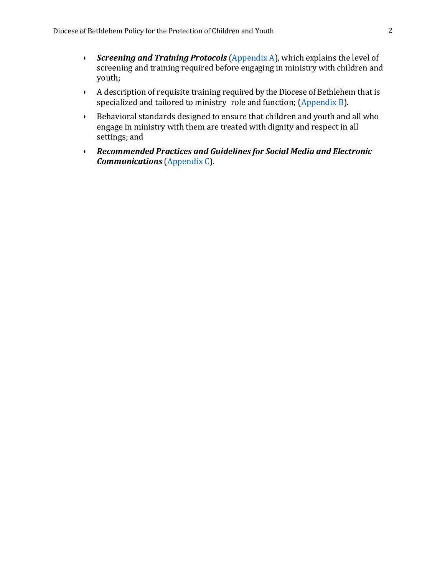- *Screening and Training Protocols* [\(Appendix](#page-23-0) A), which explains the level of screening and training required before engaging in ministry with children and youth;
- A description of requisite training required by the Diocese of Bethlehem that is specialized and tailored to ministry role and function; [\(Appendix](#page-23-0) B).
- Behavioral standards designed to ensure that children and youth and all who engage in ministry with them are treated with dignity and respect in all settings; and
- *Recommended Practices and Guidelines for Social Media and Electronic Communications* [\(Appendix](#page-24-0) C).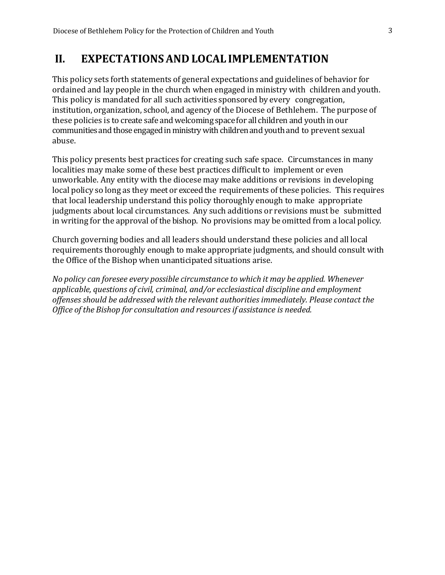## <span id="page-3-0"></span>**II. EXPECTATIONSAND LOCAL IMPLEMENTATION**

This policy sets forth statements of general expectations and guidelines of behavior for ordained and lay people in the church when engaged in ministry with children and youth. This policy is mandated for all such activities sponsored by every congregation, institution, organization, school, and agency of the Diocese of Bethlehem. The purpose of these policies is to create safe and welcoming space for all children and youth in our communities and those engaged in ministry with children and youth and to prevent sexual abuse.

This policy presents best practices for creating such safe space. Circumstances in many localities may make some of these best practices difficult to implement or even unworkable. Any entity with the diocese may make additions or revisions in developing local policy so long as they meet or exceed the requirements of these policies. This requires that local leadership understand this policy thoroughly enough to make appropriate judgments about local circumstances. Any such additions or revisions must be submitted in writing for the approval of the bishop. No provisions may be omitted from a local policy.

Church governing bodies and all leaders should understand these policies and all local requirements thoroughly enough to make appropriate judgments, and should consult with the Office of the Bishop when unanticipated situations arise.

*No policy can foresee every possible circumstance to which it may be applied. Whenever applicable, questions of civil, criminal, and/or ecclesiastical discipline and employment offenses should be addressed with the relevant authorities immediately. Please contact the Office of the Bishop for consultation and resourcesif assistance is needed.*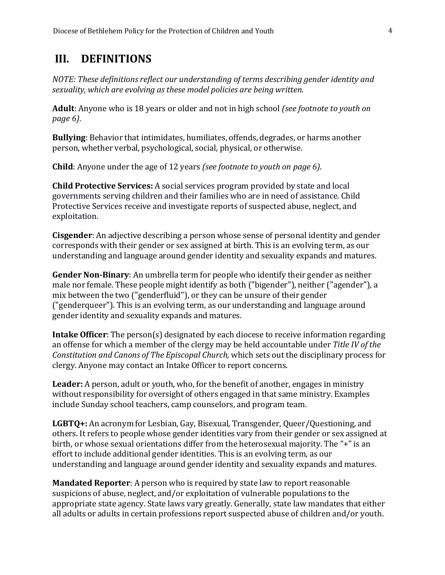## <span id="page-4-0"></span>**III. DEFINITIONS**

*NOTE: These definitions reflect our understanding of terms describing gender identity and sexuality, which are evolving as these model policies are being written.*

**Adult**: Anyone who is 18 years or older and not in high school *(see footnote to youth on page 6)*.

**Bullying**: Behavior that intimidates, humiliates, offends, degrades, or harms another person, whether verbal, psychological, social, physical, or otherwise.

**Child**: Anyone under the age of 12 years *(see footnote to youth on page 6)*.

**Child Protective Services:** A social services program provided by state and local governments serving children and their families who are in need of assistance. Child Protective Services receive and investigate reports of suspected abuse, neglect, and exploitation.

**Cisgender**: An adjective describing a person whose sense of personal identity and gender corresponds with their gender or sex assigned at birth. This is an evolving term, as our understanding and language around gender identity and sexuality expands and matures.

**Gender Non-Binary**: An umbrella term for people who identify their gender as neither male nor female. These people might identify as both ("bigender"), neither ("agender"), a mix between the two ("genderfluid"), or they can be unsure of their gender ("genderqueer"). This is an evolving term, as our understanding and language around gender identity and sexuality expands and matures.

**Intake Officer**: The person(s) designated by each diocese to receive information regarding an offense for which a member of the clergy may be held accountable under *Title IV of the Constitution and Canons of The Episcopal Church,* which sets out the disciplinary process for clergy. Anyone may contact an Intake Officer to report concerns.

**Leader:** A person, adult or youth, who, for the benefit of another, engages in ministry without responsibility for oversight of others engaged in that same ministry. Examples include Sunday school teachers, camp counselors, and program team.

**LGBTQ+:** An acronym for Lesbian, Gay, Bisexual, Transgender, Queer/Questioning, and others. It refers to people whose gender identities vary from their gender or sex assigned at birth, or whose sexual orientations differ from the heterosexual majority. The "+" is an effort to include additional gender identities. This is an evolving term, as our understanding and language around gender identity and sexuality expands and matures.

**Mandated Reporter**: A person who is required by state law to report reasonable suspicions of abuse, neglect, and/or exploitation of vulnerable populations to the appropriate state agency. State laws vary greatly. Generally, state law mandates that either all adults or adults in certain professions report suspected abuse of children and/or youth.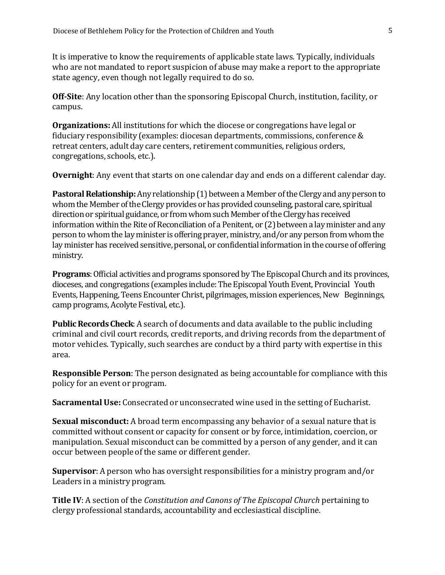It is imperative to know the requirements of applicable state laws. Typically, individuals who are not mandated to report suspicion of abuse may make a report to the appropriate state agency, even though not legally required to do so.

**Off-Site**: Any location other than the sponsoring Episcopal Church, institution, facility, or campus.

**Organizations:** All institutions for which the diocese or congregations have legal or fiduciary responsibility (examples: diocesan departments, commissions, conference & retreat centers, adult day care centers, retirement communities, religious orders, congregations, schools, etc.).

**Overnight**: Any event that starts on one calendar day and ends on a different calendar day.

**Pastoral Relationship:** Any relationship (1) between a Member of the Clergy and any person to whom the Member of the Clergy provides or has provided counseling, pastoral care, spiritual direction or spiritual guidance, or from whom such Member of the Clergy has received information within the Rite of Reconciliation of a Penitent, or (2) between a lay minister and any person to whom the lay minister is offering prayer, ministry, and/or any person from whom the lay minister has received sensitive, personal, or confidential information in the course of offering ministry.

**Programs**: Official activities and programs sponsored by The Episcopal Church and its provinces, dioceses, and congregations (examples include: The Episcopal Youth Event, Provincial Youth Events, Happening, Teens Encounter Christ, pilgrimages, mission experiences, New Beginnings, camp programs, Acolyte Festival, etc.).

**Public Records Check:** A search of documents and data available to the public including criminal and civil court records, credit reports, and driving records from the department of motor vehicles. Typically, such searches are conduct by a third party with expertise in this area.

**Responsible Person**: The person designated as being accountable for compliance with this policy for an event or program.

**Sacramental Use:** Consecrated or unconsecrated wine used in the setting of Eucharist.

**Sexual misconduct:** A broad term encompassing any behavior of a sexual nature that is committed without consent or capacity for consent or by force, intimidation, coercion, or manipulation. Sexual misconduct can be committed by a person of any gender, and it can occur between people of the same or different gender.

**Supervisor**: A person who has oversight responsibilities for a ministry program and/or Leaders in a ministry program.

**Title IV**: A section of the *Constitution and Canons of The Episcopal Church* pertaining to clergy professional standards, accountability and ecclesiastical discipline.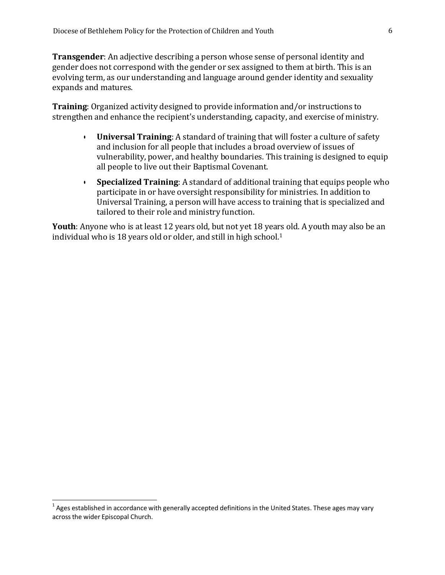**Transgender**: An adjective describing a person whose sense of personal identity and gender does not correspond with the gender or sex assigned to them at birth. This is an evolving term, as our understanding and language around gender identity and sexuality expands and matures.

**Training**: Organized activity designed to provide information and/or instructions to strengthen and enhance the recipient's understanding, capacity, and exercise of ministry.

- **Universal Training**: A standard of training that will foster a culture of safety and inclusion for all people that includes a broad overview of issues of vulnerability, power, and healthy boundaries. This training is designed to equip all people to live out their Baptismal Covenant.
- **Specialized Training**: A standard of additional training that equips people who participate in or have oversight responsibility for ministries. In addition to Universal Training, a person will have access to training that is specialized and tailored to their role and ministry function.

**Youth**: Anyone who is at least 12 years old, but not yet 18 years old. A youth may also be an individual who is 18 years old or older, and still in high school.<sup>1</sup>

 $^{\rm 1}$  Ages established in accordance with generally accepted definitions in the United States. These ages may vary acrossthe wider Episcopal Church.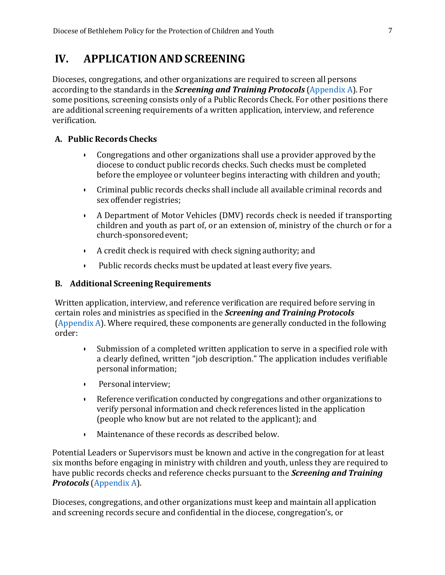## <span id="page-7-0"></span>**IV. APPLICATIONAND SCREENING**

Dioceses, congregations, and other organizations are required to screen all persons according to the standards in the *Screening and Training Protocols* [\(Appendix](#page-23-0) A). For some positions, screening consists only of a Public Records Check. For other positions there are additional screening requirements of a written application, interview, and reference verification.

#### <span id="page-7-1"></span>**A. Public Records Checks**

- Congregations and other organizations shall use a provider approved by the diocese to conduct public records checks. Such checks must be completed before the employee or volunteer begins interacting with children and youth;
- Criminal public records checks shall include all available criminal records and sex offender registries;
- A Department of Motor Vehicles (DMV) records check is needed if transporting children and youth as part of, or an extension of, ministry of the church or for a church-sponsoredevent;
- A credit check is required with check signing authority; and
- Public records checks must be updated at least every five years.

#### <span id="page-7-2"></span>**B. Additional Screening Requirements**

Written application, interview, and reference verification are required before serving in certain roles and ministries as specified in the *Screening and Training Protocols* [\(Appendix](#page-23-0) A). Where required, these components are generally conducted in the following order:

- Submission of a completed written application to serve in a specified role with a clearly defined, written "job description." The application includes verifiable personal information;
- Personal interview;
- Reference verification conducted by congregations and other organizations to verify personal information and check references listed in the application (people who know but are not related to the applicant); and
- Maintenance of these records as described below.

Potential Leaders or Supervisors must be known and active in the congregation for at least six months before engaging in ministry with children and youth, unless they are required to have public records checks and reference checks pursuant to the *Screening and Training Protocols* [\(Appendix](#page-23-0) A).

Dioceses, congregations, and other organizations must keep and maintain all application and screening records secure and confidential in the diocese, congregation's, or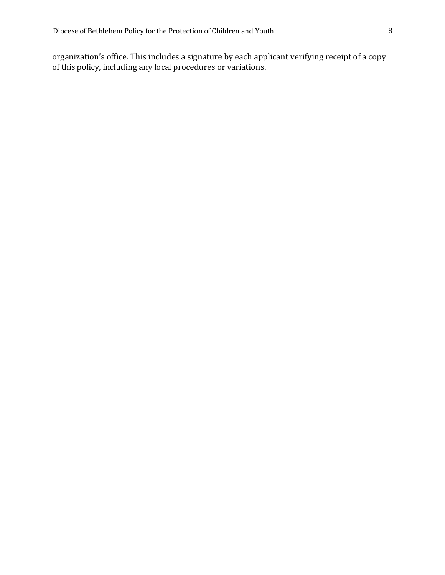organization's office. This includes a signature by each applicant verifying receipt of a copy of this policy, including any local procedures or variations.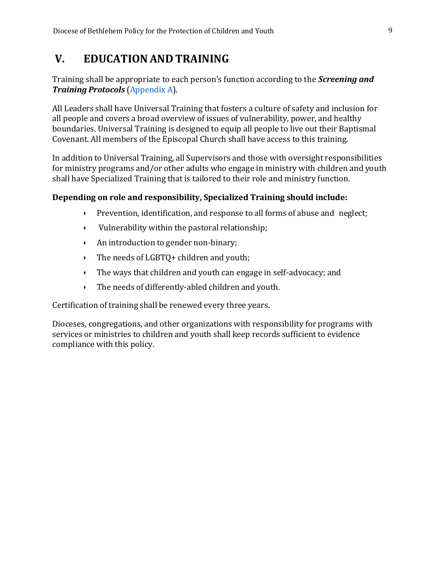## <span id="page-9-0"></span>**V. EDUCATIONAND TRAINING**

Training shall be appropriate to each person's function according to the *Screening and Training Protocols* [\(Appendix](#page-23-0) A).

All Leaders shall have Universal Training that fosters a culture of safety and inclusion for all people and covers a broad overview of issues of vulnerability, power, and healthy boundaries. Universal Training is designed to equip all people to live out their Baptismal Covenant. All members of the Episcopal Church shall have access to this training.

In addition to Universal Training, all Supervisors and those with oversight responsibilities for ministry programs and/or other adults who engage in ministry with children and youth shall have Specialized Training that is tailored to their role and ministry function.

#### **Depending on role and responsibility, Specialized Training should include:**

- Prevention, identification, and response to all forms of abuse and neglect;
- Vulnerability within the pastoral relationship;
- An introduction to gender non-binary;
- The needs of LGBTQ+ children and youth;
- The ways that children and youth can engage in self-advocacy; and
- The needs of differently-abled children and youth.

Certification of training shall be renewed every three years.

Dioceses, congregations, and other organizations with responsibility for programs with services or ministries to children and youth shall keep records sufficient to evidence compliance with this policy.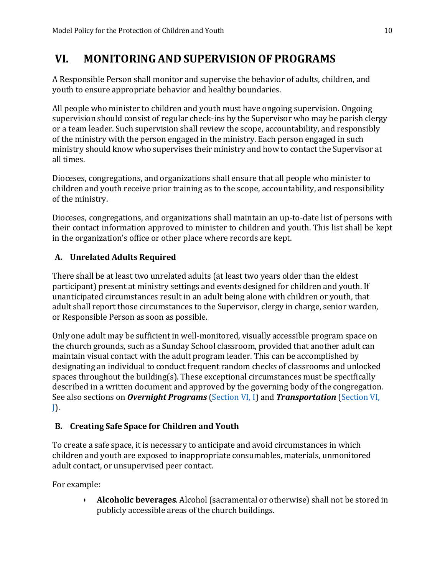## <span id="page-10-0"></span>**VI. MONITORINGAND SUPERVISION OF PROGRAMS**

A Responsible Person shall monitor and supervise the behavior of adults, children, and youth to ensure appropriate behavior and healthy boundaries.

All people who minister to children and youth must have ongoing supervision. Ongoing supervision should consist of regular check-ins by the Supervisor who may be parish clergy or a team leader. Such supervision shall review the scope, accountability, and responsibly of the ministry with the person engaged in the ministry. Each person engaged in such ministry should know who supervises their ministry and how to contact the Supervisor at all times.

Dioceses, congregations, and organizations shall ensure that all people who minister to children and youth receive prior training as to the scope, accountability, and responsibility of the ministry.

Dioceses, congregations, and organizations shall maintain an up-to-date list of persons with their contact information approved to minister to children and youth. This list shall be kept in the organization's office or other place where records are kept.

## <span id="page-10-1"></span>**A. Unrelated Adults Required**

There shall be at least two unrelated adults (at least two years older than the eldest participant) present at ministry settings and events designed for children and youth. If unanticipated circumstances result in an adult being alone with children or youth, that adult shall report those circumstances to the Supervisor, clergy in charge, senior warden, or Responsible Person as soon as possible.

Only one adult may be sufficient in well-monitored, visually accessible program space on the church grounds, such as a Sunday School classroom, provided that another adult can maintain visual contact with the adult program leader. This can be accomplished by designating an individual to conduct frequent random checks of classrooms and unlocked spaces throughout the building(s). These exceptional circumstances must be specifically described in a written document and approved by the governing body of the congregation. See also sections on *Overnight Programs* [\(Section](#page-16-0) VI, I) and *Transportation* [\(Section](#page-17-0) VI,  $J$ ).

## <span id="page-10-2"></span>**B. Creating Safe Space for Children and Youth**

To create a safe space, it is necessary to anticipate and avoid circumstances in which children and youth are exposed to inappropriate consumables, materials, unmonitored adult contact, or unsupervised peer contact.

For example:

• **Alcoholic beverages**. Alcohol(sacramental or otherwise) shall not be stored in publicly accessible areas of the church buildings.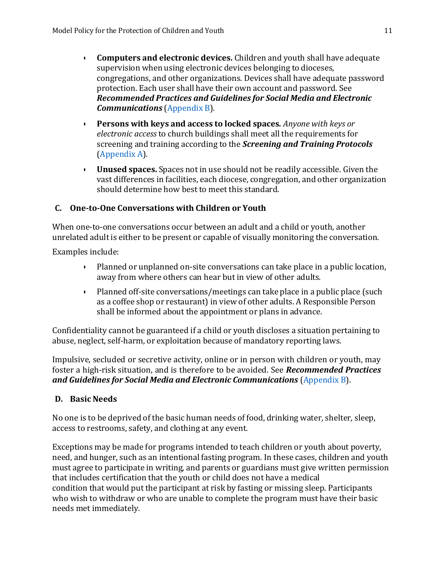- **Computers and electronic devices.** Children and youth shall have adequate supervision when using electronic devices belonging to dioceses, congregations, and other organizations. Devices shall have adequate password protection. Each user shall have their own account and password. See *Recommended Practices and Guidelines for Social Media and Electronic Communications* [\(Appendix](#page-24-0) B).
- **Persons with keys and access to locked spaces***. Anyone with keys or electronic access* to church buildings shall meet all the requirements for screening and training according to the *Screening and Training Protocols* [\(Appendix](#page-23-0) A).
- **Unused spaces.** Spaces not in use should not be readily accessible. Given the vast differences in facilities, each diocese, congregation, and other organization should determine how best to meet this standard.

#### <span id="page-11-0"></span>**C. One-to-One Conversations with Children or Youth**

When one-to-one conversations occur between an adult and a child or youth, another unrelated adult is either to be present or capable of visually monitoring the conversation.

Examples include:

- Planned or unplanned on-site conversations can take place in a public location, away from where others can hear but in view of other adults.
- Planned off-site conversations/meetings can take place in a public place (such as a coffee shop or restaurant) in view of other adults. A Responsible Person shall be informed about the appointment or plans in advance.

Confidentiality cannot be guaranteed if a child or youth discloses a situation pertaining to abuse, neglect, self-harm, or exploitation because of mandatory reporting laws.

Impulsive, secluded or secretive activity, online or in person with children or youth, may foster a high-risk situation, and is therefore to be avoided. See *Recommended Practices and Guidelines for Social Media and Electronic Communications* [\(Appendix](#page-24-0) B).

#### <span id="page-11-1"></span>**D. Basic Needs**

No one is to be deprived of the basic human needs of food, drinking water, shelter, sleep, access to restrooms, safety, and clothing at any event.

Exceptions may be made for programs intended to teach children or youth about poverty, need, and hunger, such as an intentional fasting program. In these cases, children and youth must agree to participate in writing, and parents or guardians must give written permission that includes certification that the youth or child does not have a medical condition that would put the participant at risk by fasting or missing sleep. Participants who wish to withdraw or who are unable to complete the program must have their basic needs met immediately.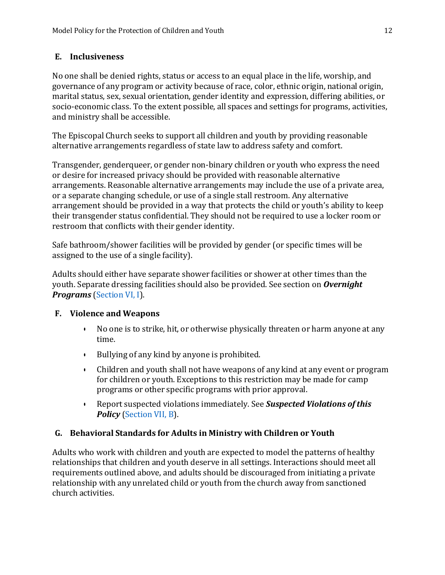#### <span id="page-12-0"></span>**E. Inclusiveness**

No one shall be denied rights, status or access to an equal place in the life, worship, and governance of any program or activity because of race, color, ethnic origin, national origin, marital status, sex, sexual orientation, gender identity and expression, differing abilities, or socio-economic class. To the extent possible, all spaces and settings for programs, activities, and ministry shall be accessible.

The Episcopal Church seeks to support all children and youth by providing reasonable alternative arrangements regardless of state law to address safety and comfort.

Transgender, genderqueer, or gender non-binary children or youth who express the need or desire for increased privacy should be provided with reasonable alternative arrangements. Reasonable alternative arrangements may include the use of a private area, or a separate changing schedule, or use of a single stall restroom. Any alternative arrangement should be provided in a way that protects the child or youth's ability to keep their transgender status confidential. They should not be required to use a locker room or restroom that conflicts with their gender identity.

Safe bathroom/shower facilities will be provided by gender (or specific times will be assigned to the use of a single facility).

Adults should either have separate shower facilities or shower at other times than the youth. Separate dressing facilities should also be provided. See section on *Overnight Programs* [\(Section](#page-16-0) VI, I).

#### <span id="page-12-1"></span>**F. Violence and Weapons**

- No one is to strike, hit, or otherwise physically threaten or harm anyone at any time.
- Bullying of any kind by anyone is prohibited.
- Children and youth shall not have weapons of any kind at any event or program for children or youth. Exceptions to this restriction may be made for camp programs or other specific programs with prior approval.
- Report suspected violations immediately. See *Suspected Violations ofthis Policy* [\(Section](#page-20-2) VII, B).

#### <span id="page-12-2"></span>**G. Behavioral Standards for Adults in Ministry with Children or Youth**

Adults who work with children and youth are expected to model the patterns of healthy relationships that children and youth deserve in all settings. Interactions should meet all requirements outlined above, and adults should be discouraged from initiating a private relationship with any unrelated child or youth from the church away from sanctioned church activities.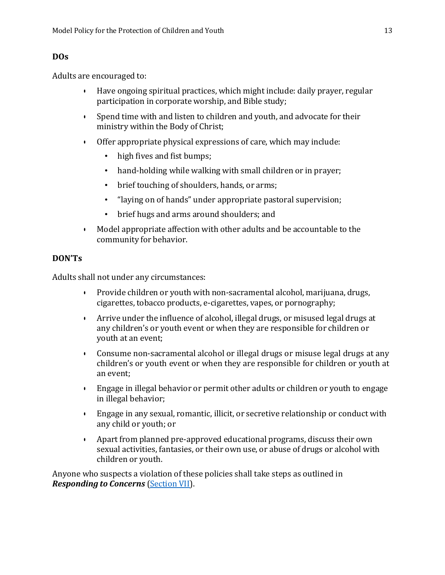#### **DOs**

Adults are encouraged to:

- Have ongoing spiritual practices, which might include: daily prayer, regular participation in corporate worship, and Bible study;
- Spend time with and listen to children and youth, and advocate for their ministry within the Body of Christ;
- Offer appropriate physical expressions of care, which may include:
	- high fives and fist bumps;
	- hand-holding while walking with small children or in prayer;
	- brief touching of shoulders, hands, or arms;
	- "laying on of hands" under appropriate pastoral supervision;
	- brief hugs and arms around shoulders; and
- Model appropriate affection with other adults and be accountable to the community for behavior.

#### **DON'Ts**

Adults shall not under any circumstances:

- Provide children or youth with non-sacramental alcohol, marijuana, drugs, cigarettes, tobacco products, e-cigarettes, vapes, or pornography;
- Arrive under the influence of alcohol, illegal drugs, or misused legal drugs at any children's or youth event or when they are responsible for children or youth at an event;
- Consume non-sacramental alcohol or illegal drugs or misuse legal drugs at any children's or youth event or when they are responsible for children or youth at an event;
- Engage in illegal behavior or permit other adults or children or youth to engage in illegal behavior;
- Engage in any sexual, romantic, illicit, or secretive relationship or conduct with any child or youth; or
- Apart from planned pre-approved educational programs, discuss their own sexual activities, fantasies, or their own use, or abuse of drugs or alcohol with children or youth.

Anyone who suspects a violation of these policies shall take steps as outlined in *Responding to Concerns* [\(Section](#page-20-0) VII).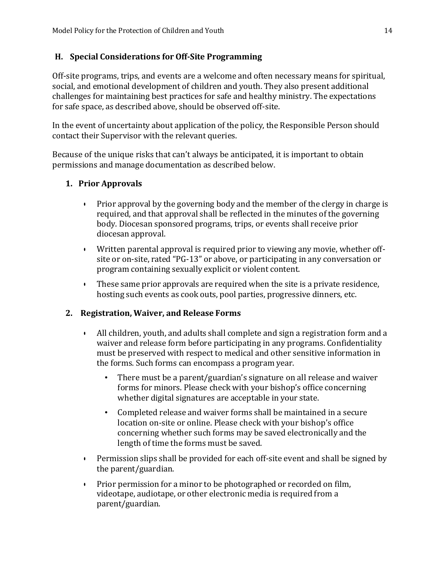#### <span id="page-14-0"></span>**H. Special Considerations for Off-Site Programming**

Off-site programs, trips, and events are a welcome and often necessary means for spiritual, social, and emotional development of children and youth. They also present additional challenges for maintaining best practices for safe and healthy ministry. The expectations for safe space, as described above, should be observed off-site.

In the event of uncertainty about application of the policy, the Responsible Person should contact their Supervisor with the relevant queries.

Because of the unique risks that can't always be anticipated, it is important to obtain permissions and manage documentation as described below.

#### **1. Prior Approvals**

- Prior approval by the governing body and the member of the clergy in charge is required, and that approval shall be reflected in the minutes of the governing body. Diocesan sponsored programs, trips, or events shall receive prior diocesan approval.
- Written parental approval is required prior to viewing any movie, whether offsite or on-site, rated "PG-13" or above, or participating in any conversation or program containing sexually explicit or violent content.
- These same prior approvals are required when the site is a private residence, hosting such events as cook outs, pool parties, progressive dinners, etc.

#### **2. Registration, Waiver, and Release Forms**

- All children, youth, and adults shall complete and sign a registration form and a waiver and release form before participating in any programs. Confidentiality must be preserved with respect to medical and other sensitive information in the forms. Such forms can encompass a program year.
	- There must be a parent/guardian's signature on all release and waiver forms for minors. Please check with your bishop's office concerning whether digital signatures are acceptable in your state.
	- Completed release and waiver forms shall be maintained in a secure location on-site or online. Please check with your bishop's office concerning whether such forms may be saved electronically and the length of time the forms must be saved.
- Permission slips shall be provided for each off-site event and shall be signed by the parent/guardian.
- Prior permission for a minor to be photographed or recorded on film, videotape, audiotape, or other electronic media is required from a parent/guardian.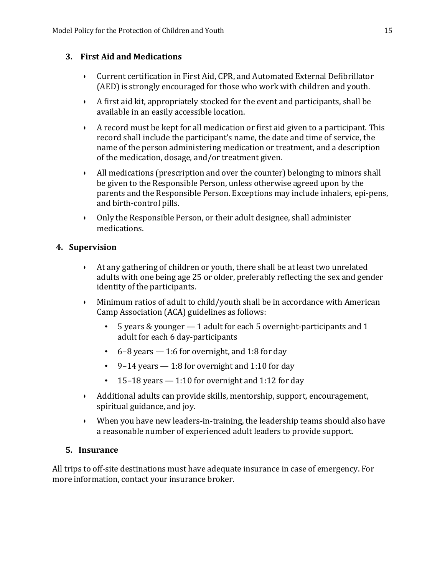#### **3. First Aid and Medications**

- Current certification in First Aid, CPR, and Automated External Defibrillator (AED) is strongly encouraged for those who work with children and youth.
- A first aid kit, appropriately stocked for the event and participants, shall be available in an easily accessible location.
- A record must be kept for all medication or first aid given to a participant. This record shall include the participant's name, the date and time of service, the name of the person administering medication or treatment, and a description of the medication, dosage, and/or treatment given.
- All medications (prescription and over the counter) belonging to minors shall be given to the Responsible Person, unless otherwise agreed upon by the parents and the Responsible Person. Exceptions may include inhalers, epi-pens, and birth-control pills.
- Only the Responsible Person, or their adult designee, shall administer medications.

#### **4. Supervision**

- At any gathering of children or youth, there shall be at least two unrelated adults with one being age 25 or older, preferably reflecting the sex and gender identity of the participants.
- Minimum ratios of adult to child/youth shall be in accordance with American Camp Association (ACA) guidelines as follows:
	- 5 years & younger 1 adult for each 5 overnight-participants and 1 adult for each 6 day-participants
	- $\cdot$  6–8 years  $-1:6$  for overnight, and 1:8 for day
	- 9–14 years 1:8 for overnight and 1:10 for day
	- 15–18 years  $-1:10$  for overnight and 1:12 for day
- Additional adults can provide skills, mentorship, support, encouragement, spiritual guidance, and joy.
- When you have new leaders-in-training, the leadership teams should also have a reasonable number of experienced adult leaders to provide support.

#### **5. Insurance**

All trips to off-site destinations must have adequate insurance in case of emergency. For more information, contact your insurance broker.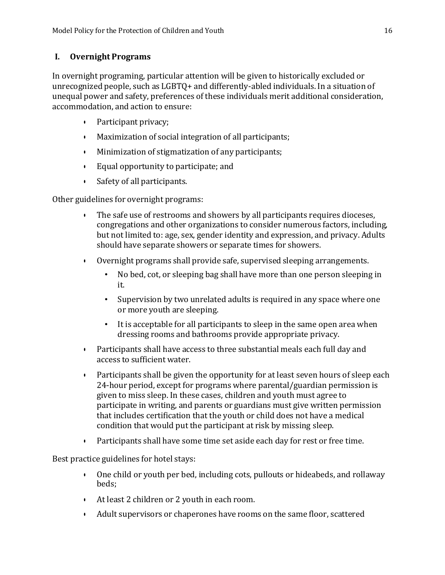#### <span id="page-16-0"></span>**I. Overnight Programs**

In overnight programing, particular attention will be given to historically excluded or unrecognized people, such as LGBTQ+ and differently-abled individuals. In a situation of unequal power and safety, preferences of these individuals merit additional consideration, accommodation, and action to ensure:

- Participant privacy;
- Maximization of social integration of all participants;
- Minimization of stigmatization of any participants;
- Equal opportunity to participate; and
- Safety of all participants.

Other guidelines for overnight programs:

- The safe use of restrooms and showers by all participants requires dioceses, congregations and other organizations to consider numerous factors, including, but not limited to: age, sex, gender identity and expression, and privacy. Adults should have separate showers or separate times for showers.
- Overnight programs shall provide safe, supervised sleeping arrangements.
	- No bed, cot, or sleeping bag shall have more than one person sleeping in it.
	- Supervision by two unrelated adults is required in any space where one or more youth are sleeping.
	- It is acceptable for all participants to sleep in the same open area when dressing rooms and bathrooms provide appropriate privacy.
- Participants shall have access to three substantial meals each full day and access to sufficient water.
- Participants shall be given the opportunity for at least seven hours of sleep each 24-hour period, except for programs where parental/guardian permission is given to miss sleep. In these cases, children and youth must agree to participate in writing, and parents or guardians must give written permission that includes certification that the youth or child does not have a medical condition that would put the participant at risk by missing sleep.
- Participants shall have some time set aside each day for rest or free time.

Best practice guidelines for hotel stays:

- One child or youth per bed, including cots, pullouts or hideabeds, and rollaway beds;
- At least 2 children or 2 youth in each room.
- Adult supervisors or chaperones have rooms on the same floor, scattered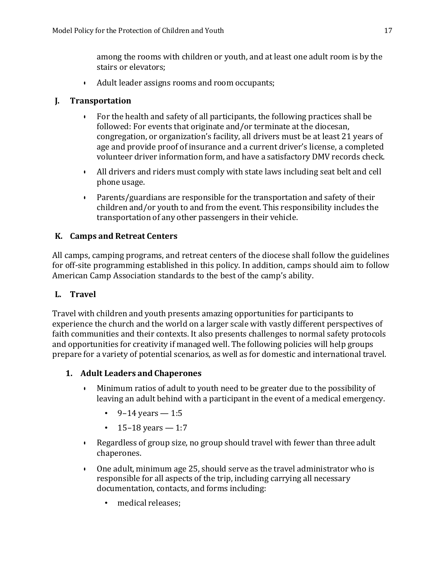among the rooms with children or youth, and at least one adult room is by the stairs or elevators;

• Adult leader assigns rooms and room occupants;

### <span id="page-17-0"></span>**J. Transportation**

- For the health and safety of all participants, the following practices shall be followed: For events that originate and/or terminate at the diocesan, congregation, or organization's facility, all drivers must be at least 21 years of age and provide proof of insurance and a current driver's license, a completed volunteer driver information form, and have a satisfactory DMV records check.
- All drivers and riders must comply with state laws including seat belt and cell phone usage.
- Parents/guardians are responsible for the transportation and safety of their children and/or youth to and from the event. This responsibility includes the transportation of any other passengers in their vehicle.

### <span id="page-17-1"></span>**K. Camps and Retreat Centers**

All camps, camping programs, and retreat centers of the diocese shall follow the guidelines for off-site programming established in this policy. In addition, camps should aim to follow American Camp Association standards to the best of the camp's ability.

### <span id="page-17-2"></span>**L. Travel**

Travel with children and youth presents amazing opportunities for participants to experience the church and the world on a larger scale with vastly different perspectives of faith communities and their contexts. It also presents challenges to normal safety protocols and opportunities for creativity if managed well. The following policies will help groups prepare for a variety of potential scenarios, as well as for domestic and international travel.

### **1. Adult Leaders and Chaperones**

- Minimum ratios of adult to youth need to be greater due to the possibility of leaving an adult behind with a participant in the event of a medical emergency.
	- 9–14 years  $-1.5$
	- 15–18 years  $-1:7$
- Regardless of group size, no group should travel with fewer than three adult chaperones.
- One adult, minimum age 25, should serve as the travel administrator who is responsible for all aspects of the trip, including carrying all necessary documentation, contacts, and forms including:
	- medical releases;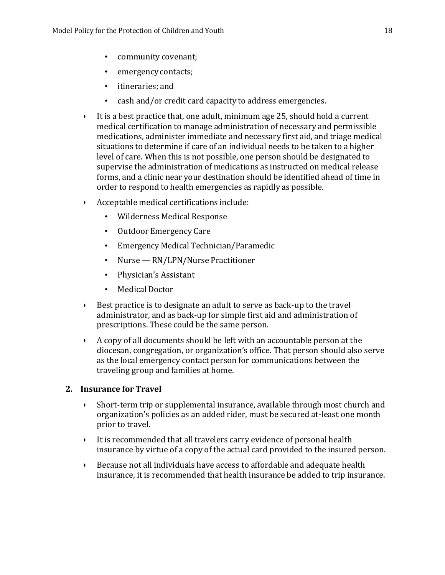- community covenant;
- emergency contacts;
- itineraries; and
- cash and/or credit card capacity to address emergencies.
- It is a best practice that, one adult, minimum age 25, should hold a current medical certification to manage administration of necessary and permissible medications, administer immediate and necessary first aid, and triage medical situations to determine if care of an individual needs to be taken to a higher level of care. When this is not possible, one person should be designated to supervise the administration of medications as instructed on medical release forms, and a clinic near your destination should be identified ahead of time in order to respond to health emergencies as rapidly as possible.
- Acceptable medical certifications include:
	- Wilderness Medical Response
	- Outdoor Emergency Care
	- Emergency Medical Technician/Paramedic
	- Nurse RN/LPN/Nurse Practitioner
	- Physician's Assistant
	- Medical Doctor
- Best practice is to designate an adult to serve as back-up to the travel administrator, and as back-up for simple first aid and administration of prescriptions. These could be the same person.
- A copy of all documents should be left with an accountable person at the diocesan, congregation, or organization's office. That person should also serve as the local emergency contact person for communications between the traveling group and families at home.

#### **2. Insurance for Travel**

- Short-term trip or supplemental insurance, available through most church and organization's policies as an added rider, must be secured at-least one month prior to travel.
- It is recommended that all travelers carry evidence of personal health insurance by virtue of a copy of the actual card provided to the insured person.
- Because not all individuals have access to affordable and adequate health insurance, it is recommended that health insurance be added to trip insurance.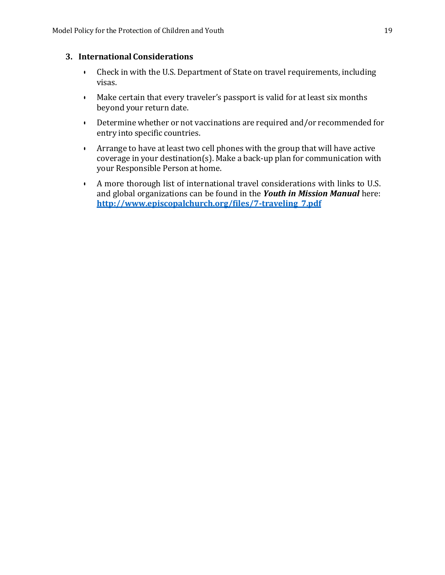#### **3. International Considerations**

- Check in with the U.S. Department of State on travel requirements, including visas.
- Make certain that every traveler's passport is valid for at least six months beyond your return date.
- Determine whether or not vaccinations are required and/or recommended for entry into specific countries.
- Arrange to have at least two cell phones with the group that will have active coverage in your destination(s). Make a back-up plan for communication with your Responsible Person at home.
- A more thorough list of international travel considerations with links to U.S. and global organizations can be found in the *Youth in Mission Manual* here: **[http://www.episcopalchurch.org/files/7-traveling\\_7.pdf](http://www.episcopalchurch.org/files/7-traveling_7.pdf)**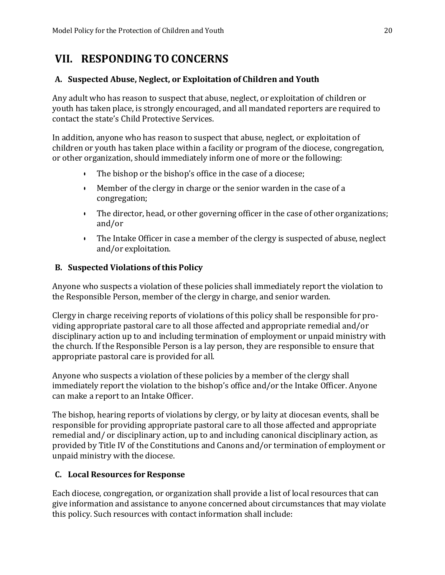## <span id="page-20-0"></span>**VII. RESPONDINGTOCONCERNS**

#### <span id="page-20-1"></span>**A. Suspected Abuse, Neglect, or Exploitation of Children and Youth**

Any adult who has reason to suspect that abuse, neglect, or exploitation of children or youth has taken place, is strongly encouraged, and all mandated reporters are required to contact the state's Child Protective Services.

In addition, anyone who has reason to suspect that abuse, neglect, or exploitation of children or youth has taken place within a facility or program of the diocese, congregation, or other organization, should immediately inform one of more or the following:

- The bishop or the bishop's office in the case of a diocese;
- Member of the clergy in charge or the senior warden in the case of a congregation;
- The director, head, or other governing officer in the case of other organizations; and/or
- The Intake Officer in case a member of the clergy is suspected of abuse, neglect and/or exploitation.

#### <span id="page-20-2"></span>**B. Suspected Violations of this Policy**

Anyone who suspects a violation of these policies shall immediately report the violation to the Responsible Person, member of the clergy in charge, and senior warden.

Clergy in charge receiving reports of violations of this policy shall be responsible for providing appropriate pastoral care to all those affected and appropriate remedial and/or disciplinary action up to and including termination of employment or unpaid ministry with the church. If the Responsible Person is a lay person, they are responsible to ensure that appropriate pastoral care is provided for all.

Anyone who suspects a violation of these policies by a member of the clergy shall immediately report the violation to the bishop's office and/or the Intake Officer. Anyone can make a report to an Intake Officer.

The bishop, hearing reports of violations by clergy, or by laity at diocesan events, shall be responsible for providing appropriate pastoral care to all those affected and appropriate remedial and/ or disciplinary action, up to and including canonical disciplinary action, as provided by Title IV of the Constitutions and Canons and/or termination of employment or unpaid ministry with the diocese.

### <span id="page-20-3"></span>**C. Local Resources for Response**

Each diocese, congregation, or organization shall provide a list of local resources that can give information and assistance to anyone concerned about circumstances that may violate this policy. Such resources with contact information shall include: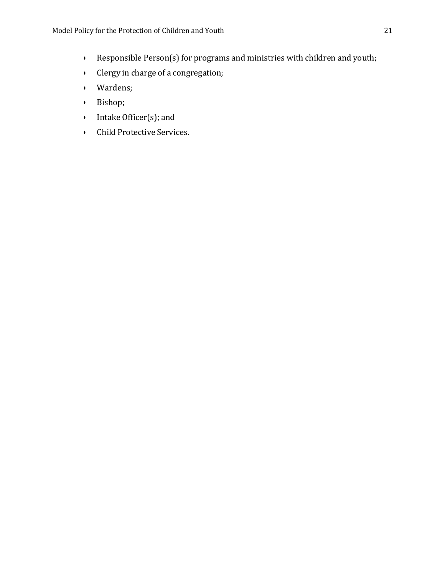- Responsible Person(s) for programs and ministries with children and youth;
- Clergy in charge of a congregation;
- Wardens;
- Bishop;
- Intake Officer(s); and
- Child Protective Services.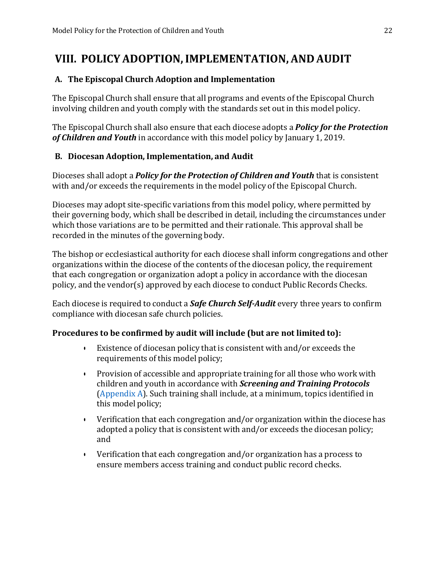## <span id="page-22-0"></span>**VIII. POLICY ADOPTION,IMPLEMENTATION, AND AUDIT**

#### <span id="page-22-1"></span>**A. The Episcopal Church Adoption and Implementation**

The Episcopal Church shall ensure that all programs and events of the Episcopal Church involving children and youth comply with the standards set out in this model policy.

The Episcopal Church shall also ensure that each diocese adopts a *Policy for the Protection of Children and Youth* in accordance with this model policy by January 1, 2019.

#### <span id="page-22-2"></span>**B. Diocesan Adoption, Implementation, and Audit**

Dioceses shall adopt a *Policy for the Protection of Children and Youth* that is consistent with and/or exceeds the requirements in the model policy of the Episcopal Church.

Dioceses may adopt site-specific variations from this model policy, where permitted by their governing body, which shall be described in detail, including the circumstances under which those variations are to be permitted and their rationale. This approval shall be recorded in the minutes of the governing body.

The bishop or ecclesiastical authority for each diocese shall inform congregations and other organizations within the diocese of the contents of the diocesan policy, the requirement that each congregation or organization adopt a policy in accordance with the diocesan policy, and the vendor(s) approved by each diocese to conduct Public Records Checks.

Each diocese is required to conduct a *Safe Church Self-Audit* every three years to confirm compliance with diocesan safe church policies.

#### **Procedures to be confirmed by audit will include (but are not limited to):**

- Existence of diocesan policy that is consistent with and/or exceeds the requirements of this model policy;
- Provision of accessible and appropriate training for all those who work with children and youth in accordance with *Screening and Training Protocols* [\(Appendix](#page-23-0) A). Such training shall include, at a minimum, topics identified in this model policy;
- Verification that each congregation and/or organization within the diocese has adopted a policy that is consistent with and/or exceeds the diocesan policy; and
- Verification that each congregation and/or organization has a process to ensure members access training and conduct public record checks.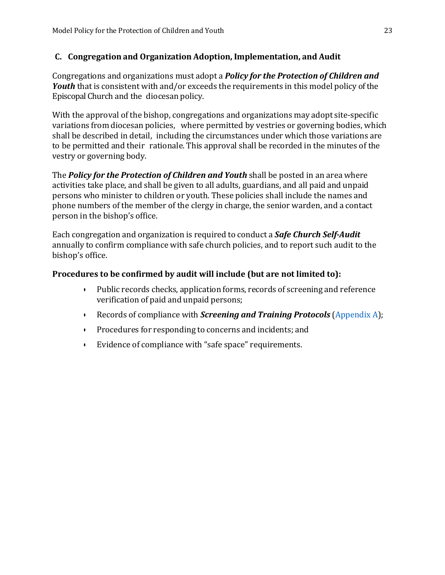#### <span id="page-23-0"></span>**C. Congregation and Organization Adoption, Implementation, and Audit**

Congregations and organizations must adopt a *Policy for the Protection of Children and Youth* that is consistent with and/or exceeds the requirements in this model policy of the Episcopal Church and the diocesan policy.

With the approval of the bishop, congregations and organizations may adopt site-specific variations from diocesan policies, where permitted by vestries or governing bodies, which shall be described in detail, including the circumstances under which those variations are to be permitted and their rationale. This approval shall be recorded in the minutes of the vestry or governing body.

The *Policy for the Protection of Children and Youth* shall be posted in an area where activities take place, and shall be given to all adults, guardians, and all paid and unpaid persons who minister to children or youth. These policies shall include the names and phone numbers of the member of the clergy in charge, the senior warden, and a contact person in the bishop's office.

Each congregation and organization is required to conduct a *Safe Church Self-Audit* annually to confirm compliance with safe church policies, and to report such audit to the bishop's office.

#### **Procedures to be confirmed by audit will include (but are not limited to):**

- Public records checks, application forms, records of screening and reference verification of paid and unpaid persons;
- Records of compliance with *Screening and Training Protocols* [\(Appendix](#page-23-0) A);
- Procedures for responding to concerns and incidents; and
- Evidence of compliance with "safe space" requirements.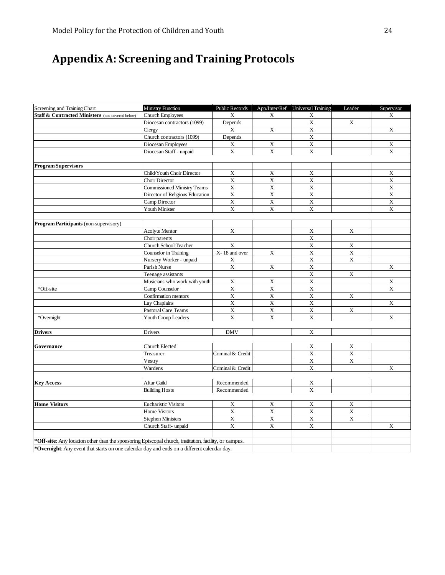# <span id="page-24-0"></span>**Appendix A: Screening and Training Protocols**

| Staff & Contracted Ministers (not covered below)<br><b>Church Employees</b><br>X<br>X<br>X<br>$\mathbf X$<br>$\mathbf X$<br>Depends<br>Diocesan contractors (1099)<br>$\mathbf X$<br>$\mathbf X$<br>X<br>Clergy<br>$\overline{\textbf{X}}$<br>Church contractors (1099)<br>Depends<br>$\mathbf X$<br>Diocesan Employees<br>X<br>X<br>$\mathbf X$<br>$\mathbf X$<br>$\mathbf X$<br>Diocesan Staff - unpaid<br><b>Program Supervisors</b><br>Child/Youth Choir Director<br>X<br>X<br>X<br>$\mathbf X$<br>X<br>$\mathbf X$<br>Choir Director<br>$\overline{\textbf{X}}$<br>$\overline{\textbf{X}}$<br>$\overline{\textbf{X}}$<br><b>Commissioned Ministry Teams</b><br>$\mathbf X$<br>$\mathbf X$<br>$\mathbf X$<br>Director of Religious Education<br>$\mathbf X$<br>$\mathbf X$<br>$\mathbf X$<br>Camp Director<br>$\mathbf X$<br>$\mathbf X$<br>$\mathbf X$<br>Youth Minister<br><b>Program Participants (non-supervisory)</b><br>$\mathbf X$<br>$\mathbf X$<br>$\mathbf X$<br><b>Acolyte Mentor</b><br>$\overline{\textbf{X}}$<br>Choir parents<br>$\mathbf X$<br>$\mathbf X$<br>X<br>Church School Teacher<br>$\overline{\textbf{X}}$<br>$\overline{\textbf{X}}$<br>X-18 and over<br>$\mathbf X$<br>Counselor in Training<br>$\mathbf X$<br>X<br>Nursery Worker - unpaid<br>X<br>$\mathbf X$<br>$\overline{\textbf{X}}$<br>$\mathbf X$<br>Parish Nurse<br>$\mathbf X$<br>$\mathbf X$<br>Teenage assistants<br>$\mathbf X$<br>$\mathbf X$<br>X<br>Musicians who work with youth<br>$\mathbf X$<br>X<br>$\mathbf X$<br>*Off-site<br>Camp Counselor<br>$\overline{\textbf{X}}$<br>$\overline{\textbf{X}}$<br>$\overline{\textbf{X}}$<br>X<br>Confirmation mentors<br>$\mathbf X$<br>$\mathbf X$<br>$\mathbf X$<br>Lay Chaplains<br>$\overline{\textbf{X}}$<br>$\overline{\textbf{X}}$<br>$\overline{\textbf{X}}$<br>$\overline{\textbf{X}}$<br>Pastoral Care Teams<br>$\mathbf X$<br>$\mathbf X$<br>*Overnight<br>Youth Group Leaders<br>$\mathbf X$<br>$\mathbf X$<br><b>Drivers</b><br><b>DMV</b><br>Drivers<br>Church Elected<br>X<br>X<br>Governance<br>$\overline{X}$<br>$\overline{\textbf{X}}$<br>Treasurer<br>Criminal & Credit<br>$\overline{\textbf{X}}$<br>$\mathbf X$<br>Vestry<br>X<br>Wardens<br>Criminal & Credit<br>Altar Guild<br>Recommended<br>X<br><b>Key Access</b><br>$\mathbf X$<br><b>Building Hosts</b><br>Recommended<br>$\overline{\textbf{X}}$<br>$\overline{\mathbf{X}}$<br><b>Eucharistic Visitors</b><br>$\mathbf X$<br>X<br><b>Home Visitors</b><br><b>Home Visitors</b><br>$\mathbf X$<br>$\overline{\textbf{X}}$<br>$\overline{\textbf{X}}$<br>$\overline{\textbf{X}}$<br>$\mathbf X$<br>$\mathbf X$<br>$\mathbf X$<br>$\overline{\textbf{X}}$<br><b>Stephen Ministers</b> | Screening and Training Chart | Ministry Function    | Public Records |             | App/Inter/Ref Universal Training | Leader | Supervisor              |
|-------------------------------------------------------------------------------------------------------------------------------------------------------------------------------------------------------------------------------------------------------------------------------------------------------------------------------------------------------------------------------------------------------------------------------------------------------------------------------------------------------------------------------------------------------------------------------------------------------------------------------------------------------------------------------------------------------------------------------------------------------------------------------------------------------------------------------------------------------------------------------------------------------------------------------------------------------------------------------------------------------------------------------------------------------------------------------------------------------------------------------------------------------------------------------------------------------------------------------------------------------------------------------------------------------------------------------------------------------------------------------------------------------------------------------------------------------------------------------------------------------------------------------------------------------------------------------------------------------------------------------------------------------------------------------------------------------------------------------------------------------------------------------------------------------------------------------------------------------------------------------------------------------------------------------------------------------------------------------------------------------------------------------------------------------------------------------------------------------------------------------------------------------------------------------------------------------------------------------------------------------------------------------------------------------------------------------------------------------------------------------------------------------------------------------------------------------------------------------------------------------------------------------------------------------------------------------------------------------------------------------------------------------------------------------------------------------------|------------------------------|----------------------|----------------|-------------|----------------------------------|--------|-------------------------|
|                                                                                                                                                                                                                                                                                                                                                                                                                                                                                                                                                                                                                                                                                                                                                                                                                                                                                                                                                                                                                                                                                                                                                                                                                                                                                                                                                                                                                                                                                                                                                                                                                                                                                                                                                                                                                                                                                                                                                                                                                                                                                                                                                                                                                                                                                                                                                                                                                                                                                                                                                                                                                                                                                                             |                              |                      |                |             |                                  |        | X                       |
|                                                                                                                                                                                                                                                                                                                                                                                                                                                                                                                                                                                                                                                                                                                                                                                                                                                                                                                                                                                                                                                                                                                                                                                                                                                                                                                                                                                                                                                                                                                                                                                                                                                                                                                                                                                                                                                                                                                                                                                                                                                                                                                                                                                                                                                                                                                                                                                                                                                                                                                                                                                                                                                                                                             |                              |                      |                |             |                                  |        |                         |
|                                                                                                                                                                                                                                                                                                                                                                                                                                                                                                                                                                                                                                                                                                                                                                                                                                                                                                                                                                                                                                                                                                                                                                                                                                                                                                                                                                                                                                                                                                                                                                                                                                                                                                                                                                                                                                                                                                                                                                                                                                                                                                                                                                                                                                                                                                                                                                                                                                                                                                                                                                                                                                                                                                             |                              |                      |                |             |                                  |        | $\mathbf X$             |
|                                                                                                                                                                                                                                                                                                                                                                                                                                                                                                                                                                                                                                                                                                                                                                                                                                                                                                                                                                                                                                                                                                                                                                                                                                                                                                                                                                                                                                                                                                                                                                                                                                                                                                                                                                                                                                                                                                                                                                                                                                                                                                                                                                                                                                                                                                                                                                                                                                                                                                                                                                                                                                                                                                             |                              |                      |                |             |                                  |        |                         |
|                                                                                                                                                                                                                                                                                                                                                                                                                                                                                                                                                                                                                                                                                                                                                                                                                                                                                                                                                                                                                                                                                                                                                                                                                                                                                                                                                                                                                                                                                                                                                                                                                                                                                                                                                                                                                                                                                                                                                                                                                                                                                                                                                                                                                                                                                                                                                                                                                                                                                                                                                                                                                                                                                                             |                              |                      |                |             |                                  |        | X                       |
|                                                                                                                                                                                                                                                                                                                                                                                                                                                                                                                                                                                                                                                                                                                                                                                                                                                                                                                                                                                                                                                                                                                                                                                                                                                                                                                                                                                                                                                                                                                                                                                                                                                                                                                                                                                                                                                                                                                                                                                                                                                                                                                                                                                                                                                                                                                                                                                                                                                                                                                                                                                                                                                                                                             |                              |                      |                |             |                                  |        | $\mathbf X$             |
|                                                                                                                                                                                                                                                                                                                                                                                                                                                                                                                                                                                                                                                                                                                                                                                                                                                                                                                                                                                                                                                                                                                                                                                                                                                                                                                                                                                                                                                                                                                                                                                                                                                                                                                                                                                                                                                                                                                                                                                                                                                                                                                                                                                                                                                                                                                                                                                                                                                                                                                                                                                                                                                                                                             |                              |                      |                |             |                                  |        |                         |
|                                                                                                                                                                                                                                                                                                                                                                                                                                                                                                                                                                                                                                                                                                                                                                                                                                                                                                                                                                                                                                                                                                                                                                                                                                                                                                                                                                                                                                                                                                                                                                                                                                                                                                                                                                                                                                                                                                                                                                                                                                                                                                                                                                                                                                                                                                                                                                                                                                                                                                                                                                                                                                                                                                             |                              |                      |                |             |                                  |        |                         |
|                                                                                                                                                                                                                                                                                                                                                                                                                                                                                                                                                                                                                                                                                                                                                                                                                                                                                                                                                                                                                                                                                                                                                                                                                                                                                                                                                                                                                                                                                                                                                                                                                                                                                                                                                                                                                                                                                                                                                                                                                                                                                                                                                                                                                                                                                                                                                                                                                                                                                                                                                                                                                                                                                                             |                              |                      |                |             |                                  |        | X                       |
|                                                                                                                                                                                                                                                                                                                                                                                                                                                                                                                                                                                                                                                                                                                                                                                                                                                                                                                                                                                                                                                                                                                                                                                                                                                                                                                                                                                                                                                                                                                                                                                                                                                                                                                                                                                                                                                                                                                                                                                                                                                                                                                                                                                                                                                                                                                                                                                                                                                                                                                                                                                                                                                                                                             |                              |                      |                |             |                                  |        | X                       |
|                                                                                                                                                                                                                                                                                                                                                                                                                                                                                                                                                                                                                                                                                                                                                                                                                                                                                                                                                                                                                                                                                                                                                                                                                                                                                                                                                                                                                                                                                                                                                                                                                                                                                                                                                                                                                                                                                                                                                                                                                                                                                                                                                                                                                                                                                                                                                                                                                                                                                                                                                                                                                                                                                                             |                              |                      |                |             |                                  |        | $\overline{\textbf{X}}$ |
|                                                                                                                                                                                                                                                                                                                                                                                                                                                                                                                                                                                                                                                                                                                                                                                                                                                                                                                                                                                                                                                                                                                                                                                                                                                                                                                                                                                                                                                                                                                                                                                                                                                                                                                                                                                                                                                                                                                                                                                                                                                                                                                                                                                                                                                                                                                                                                                                                                                                                                                                                                                                                                                                                                             |                              |                      |                |             |                                  |        | $\mathbf X$             |
|                                                                                                                                                                                                                                                                                                                                                                                                                                                                                                                                                                                                                                                                                                                                                                                                                                                                                                                                                                                                                                                                                                                                                                                                                                                                                                                                                                                                                                                                                                                                                                                                                                                                                                                                                                                                                                                                                                                                                                                                                                                                                                                                                                                                                                                                                                                                                                                                                                                                                                                                                                                                                                                                                                             |                              |                      |                |             |                                  |        | $\mathbf X$             |
|                                                                                                                                                                                                                                                                                                                                                                                                                                                                                                                                                                                                                                                                                                                                                                                                                                                                                                                                                                                                                                                                                                                                                                                                                                                                                                                                                                                                                                                                                                                                                                                                                                                                                                                                                                                                                                                                                                                                                                                                                                                                                                                                                                                                                                                                                                                                                                                                                                                                                                                                                                                                                                                                                                             |                              |                      |                |             |                                  |        | $\mathbf X$             |
|                                                                                                                                                                                                                                                                                                                                                                                                                                                                                                                                                                                                                                                                                                                                                                                                                                                                                                                                                                                                                                                                                                                                                                                                                                                                                                                                                                                                                                                                                                                                                                                                                                                                                                                                                                                                                                                                                                                                                                                                                                                                                                                                                                                                                                                                                                                                                                                                                                                                                                                                                                                                                                                                                                             |                              |                      |                |             |                                  |        |                         |
|                                                                                                                                                                                                                                                                                                                                                                                                                                                                                                                                                                                                                                                                                                                                                                                                                                                                                                                                                                                                                                                                                                                                                                                                                                                                                                                                                                                                                                                                                                                                                                                                                                                                                                                                                                                                                                                                                                                                                                                                                                                                                                                                                                                                                                                                                                                                                                                                                                                                                                                                                                                                                                                                                                             |                              |                      |                |             |                                  |        |                         |
|                                                                                                                                                                                                                                                                                                                                                                                                                                                                                                                                                                                                                                                                                                                                                                                                                                                                                                                                                                                                                                                                                                                                                                                                                                                                                                                                                                                                                                                                                                                                                                                                                                                                                                                                                                                                                                                                                                                                                                                                                                                                                                                                                                                                                                                                                                                                                                                                                                                                                                                                                                                                                                                                                                             |                              |                      |                |             |                                  |        |                         |
|                                                                                                                                                                                                                                                                                                                                                                                                                                                                                                                                                                                                                                                                                                                                                                                                                                                                                                                                                                                                                                                                                                                                                                                                                                                                                                                                                                                                                                                                                                                                                                                                                                                                                                                                                                                                                                                                                                                                                                                                                                                                                                                                                                                                                                                                                                                                                                                                                                                                                                                                                                                                                                                                                                             |                              |                      |                |             |                                  |        |                         |
|                                                                                                                                                                                                                                                                                                                                                                                                                                                                                                                                                                                                                                                                                                                                                                                                                                                                                                                                                                                                                                                                                                                                                                                                                                                                                                                                                                                                                                                                                                                                                                                                                                                                                                                                                                                                                                                                                                                                                                                                                                                                                                                                                                                                                                                                                                                                                                                                                                                                                                                                                                                                                                                                                                             |                              |                      |                |             |                                  |        |                         |
|                                                                                                                                                                                                                                                                                                                                                                                                                                                                                                                                                                                                                                                                                                                                                                                                                                                                                                                                                                                                                                                                                                                                                                                                                                                                                                                                                                                                                                                                                                                                                                                                                                                                                                                                                                                                                                                                                                                                                                                                                                                                                                                                                                                                                                                                                                                                                                                                                                                                                                                                                                                                                                                                                                             |                              |                      |                |             |                                  |        |                         |
|                                                                                                                                                                                                                                                                                                                                                                                                                                                                                                                                                                                                                                                                                                                                                                                                                                                                                                                                                                                                                                                                                                                                                                                                                                                                                                                                                                                                                                                                                                                                                                                                                                                                                                                                                                                                                                                                                                                                                                                                                                                                                                                                                                                                                                                                                                                                                                                                                                                                                                                                                                                                                                                                                                             |                              |                      |                |             |                                  |        |                         |
|                                                                                                                                                                                                                                                                                                                                                                                                                                                                                                                                                                                                                                                                                                                                                                                                                                                                                                                                                                                                                                                                                                                                                                                                                                                                                                                                                                                                                                                                                                                                                                                                                                                                                                                                                                                                                                                                                                                                                                                                                                                                                                                                                                                                                                                                                                                                                                                                                                                                                                                                                                                                                                                                                                             |                              |                      |                |             |                                  |        | $\mathbf X$             |
|                                                                                                                                                                                                                                                                                                                                                                                                                                                                                                                                                                                                                                                                                                                                                                                                                                                                                                                                                                                                                                                                                                                                                                                                                                                                                                                                                                                                                                                                                                                                                                                                                                                                                                                                                                                                                                                                                                                                                                                                                                                                                                                                                                                                                                                                                                                                                                                                                                                                                                                                                                                                                                                                                                             |                              |                      |                |             |                                  |        |                         |
|                                                                                                                                                                                                                                                                                                                                                                                                                                                                                                                                                                                                                                                                                                                                                                                                                                                                                                                                                                                                                                                                                                                                                                                                                                                                                                                                                                                                                                                                                                                                                                                                                                                                                                                                                                                                                                                                                                                                                                                                                                                                                                                                                                                                                                                                                                                                                                                                                                                                                                                                                                                                                                                                                                             |                              |                      |                |             |                                  |        | X                       |
|                                                                                                                                                                                                                                                                                                                                                                                                                                                                                                                                                                                                                                                                                                                                                                                                                                                                                                                                                                                                                                                                                                                                                                                                                                                                                                                                                                                                                                                                                                                                                                                                                                                                                                                                                                                                                                                                                                                                                                                                                                                                                                                                                                                                                                                                                                                                                                                                                                                                                                                                                                                                                                                                                                             |                              |                      |                |             |                                  |        | X                       |
|                                                                                                                                                                                                                                                                                                                                                                                                                                                                                                                                                                                                                                                                                                                                                                                                                                                                                                                                                                                                                                                                                                                                                                                                                                                                                                                                                                                                                                                                                                                                                                                                                                                                                                                                                                                                                                                                                                                                                                                                                                                                                                                                                                                                                                                                                                                                                                                                                                                                                                                                                                                                                                                                                                             |                              |                      |                |             |                                  |        |                         |
|                                                                                                                                                                                                                                                                                                                                                                                                                                                                                                                                                                                                                                                                                                                                                                                                                                                                                                                                                                                                                                                                                                                                                                                                                                                                                                                                                                                                                                                                                                                                                                                                                                                                                                                                                                                                                                                                                                                                                                                                                                                                                                                                                                                                                                                                                                                                                                                                                                                                                                                                                                                                                                                                                                             |                              |                      |                |             |                                  |        | $\mathbf X$             |
|                                                                                                                                                                                                                                                                                                                                                                                                                                                                                                                                                                                                                                                                                                                                                                                                                                                                                                                                                                                                                                                                                                                                                                                                                                                                                                                                                                                                                                                                                                                                                                                                                                                                                                                                                                                                                                                                                                                                                                                                                                                                                                                                                                                                                                                                                                                                                                                                                                                                                                                                                                                                                                                                                                             |                              |                      |                |             |                                  |        |                         |
|                                                                                                                                                                                                                                                                                                                                                                                                                                                                                                                                                                                                                                                                                                                                                                                                                                                                                                                                                                                                                                                                                                                                                                                                                                                                                                                                                                                                                                                                                                                                                                                                                                                                                                                                                                                                                                                                                                                                                                                                                                                                                                                                                                                                                                                                                                                                                                                                                                                                                                                                                                                                                                                                                                             |                              |                      |                |             |                                  |        | $\mathbf X$             |
|                                                                                                                                                                                                                                                                                                                                                                                                                                                                                                                                                                                                                                                                                                                                                                                                                                                                                                                                                                                                                                                                                                                                                                                                                                                                                                                                                                                                                                                                                                                                                                                                                                                                                                                                                                                                                                                                                                                                                                                                                                                                                                                                                                                                                                                                                                                                                                                                                                                                                                                                                                                                                                                                                                             |                              |                      |                |             |                                  |        |                         |
|                                                                                                                                                                                                                                                                                                                                                                                                                                                                                                                                                                                                                                                                                                                                                                                                                                                                                                                                                                                                                                                                                                                                                                                                                                                                                                                                                                                                                                                                                                                                                                                                                                                                                                                                                                                                                                                                                                                                                                                                                                                                                                                                                                                                                                                                                                                                                                                                                                                                                                                                                                                                                                                                                                             |                              |                      |                |             |                                  |        |                         |
|                                                                                                                                                                                                                                                                                                                                                                                                                                                                                                                                                                                                                                                                                                                                                                                                                                                                                                                                                                                                                                                                                                                                                                                                                                                                                                                                                                                                                                                                                                                                                                                                                                                                                                                                                                                                                                                                                                                                                                                                                                                                                                                                                                                                                                                                                                                                                                                                                                                                                                                                                                                                                                                                                                             |                              |                      |                |             |                                  |        |                         |
|                                                                                                                                                                                                                                                                                                                                                                                                                                                                                                                                                                                                                                                                                                                                                                                                                                                                                                                                                                                                                                                                                                                                                                                                                                                                                                                                                                                                                                                                                                                                                                                                                                                                                                                                                                                                                                                                                                                                                                                                                                                                                                                                                                                                                                                                                                                                                                                                                                                                                                                                                                                                                                                                                                             |                              |                      |                |             |                                  |        |                         |
|                                                                                                                                                                                                                                                                                                                                                                                                                                                                                                                                                                                                                                                                                                                                                                                                                                                                                                                                                                                                                                                                                                                                                                                                                                                                                                                                                                                                                                                                                                                                                                                                                                                                                                                                                                                                                                                                                                                                                                                                                                                                                                                                                                                                                                                                                                                                                                                                                                                                                                                                                                                                                                                                                                             |                              |                      |                |             |                                  |        |                         |
|                                                                                                                                                                                                                                                                                                                                                                                                                                                                                                                                                                                                                                                                                                                                                                                                                                                                                                                                                                                                                                                                                                                                                                                                                                                                                                                                                                                                                                                                                                                                                                                                                                                                                                                                                                                                                                                                                                                                                                                                                                                                                                                                                                                                                                                                                                                                                                                                                                                                                                                                                                                                                                                                                                             |                              |                      |                |             |                                  |        |                         |
|                                                                                                                                                                                                                                                                                                                                                                                                                                                                                                                                                                                                                                                                                                                                                                                                                                                                                                                                                                                                                                                                                                                                                                                                                                                                                                                                                                                                                                                                                                                                                                                                                                                                                                                                                                                                                                                                                                                                                                                                                                                                                                                                                                                                                                                                                                                                                                                                                                                                                                                                                                                                                                                                                                             |                              |                      |                |             |                                  |        | $\mathbf X$             |
|                                                                                                                                                                                                                                                                                                                                                                                                                                                                                                                                                                                                                                                                                                                                                                                                                                                                                                                                                                                                                                                                                                                                                                                                                                                                                                                                                                                                                                                                                                                                                                                                                                                                                                                                                                                                                                                                                                                                                                                                                                                                                                                                                                                                                                                                                                                                                                                                                                                                                                                                                                                                                                                                                                             |                              |                      |                |             |                                  |        |                         |
|                                                                                                                                                                                                                                                                                                                                                                                                                                                                                                                                                                                                                                                                                                                                                                                                                                                                                                                                                                                                                                                                                                                                                                                                                                                                                                                                                                                                                                                                                                                                                                                                                                                                                                                                                                                                                                                                                                                                                                                                                                                                                                                                                                                                                                                                                                                                                                                                                                                                                                                                                                                                                                                                                                             |                              |                      |                |             |                                  |        |                         |
|                                                                                                                                                                                                                                                                                                                                                                                                                                                                                                                                                                                                                                                                                                                                                                                                                                                                                                                                                                                                                                                                                                                                                                                                                                                                                                                                                                                                                                                                                                                                                                                                                                                                                                                                                                                                                                                                                                                                                                                                                                                                                                                                                                                                                                                                                                                                                                                                                                                                                                                                                                                                                                                                                                             |                              |                      |                |             |                                  |        |                         |
|                                                                                                                                                                                                                                                                                                                                                                                                                                                                                                                                                                                                                                                                                                                                                                                                                                                                                                                                                                                                                                                                                                                                                                                                                                                                                                                                                                                                                                                                                                                                                                                                                                                                                                                                                                                                                                                                                                                                                                                                                                                                                                                                                                                                                                                                                                                                                                                                                                                                                                                                                                                                                                                                                                             |                              |                      |                |             |                                  |        |                         |
|                                                                                                                                                                                                                                                                                                                                                                                                                                                                                                                                                                                                                                                                                                                                                                                                                                                                                                                                                                                                                                                                                                                                                                                                                                                                                                                                                                                                                                                                                                                                                                                                                                                                                                                                                                                                                                                                                                                                                                                                                                                                                                                                                                                                                                                                                                                                                                                                                                                                                                                                                                                                                                                                                                             |                              |                      |                |             |                                  |        |                         |
|                                                                                                                                                                                                                                                                                                                                                                                                                                                                                                                                                                                                                                                                                                                                                                                                                                                                                                                                                                                                                                                                                                                                                                                                                                                                                                                                                                                                                                                                                                                                                                                                                                                                                                                                                                                                                                                                                                                                                                                                                                                                                                                                                                                                                                                                                                                                                                                                                                                                                                                                                                                                                                                                                                             |                              |                      |                |             |                                  |        |                         |
|                                                                                                                                                                                                                                                                                                                                                                                                                                                                                                                                                                                                                                                                                                                                                                                                                                                                                                                                                                                                                                                                                                                                                                                                                                                                                                                                                                                                                                                                                                                                                                                                                                                                                                                                                                                                                                                                                                                                                                                                                                                                                                                                                                                                                                                                                                                                                                                                                                                                                                                                                                                                                                                                                                             |                              |                      |                |             |                                  |        |                         |
|                                                                                                                                                                                                                                                                                                                                                                                                                                                                                                                                                                                                                                                                                                                                                                                                                                                                                                                                                                                                                                                                                                                                                                                                                                                                                                                                                                                                                                                                                                                                                                                                                                                                                                                                                                                                                                                                                                                                                                                                                                                                                                                                                                                                                                                                                                                                                                                                                                                                                                                                                                                                                                                                                                             |                              | Church Staff- unpaid | $\mathbf X$    | $\mathbf X$ | $\mathbf X$                      |        | X                       |
|                                                                                                                                                                                                                                                                                                                                                                                                                                                                                                                                                                                                                                                                                                                                                                                                                                                                                                                                                                                                                                                                                                                                                                                                                                                                                                                                                                                                                                                                                                                                                                                                                                                                                                                                                                                                                                                                                                                                                                                                                                                                                                                                                                                                                                                                                                                                                                                                                                                                                                                                                                                                                                                                                                             |                              |                      |                |             |                                  |        |                         |
| *Off-site: Any location other than the sponsoring Episcopal church, institution, facility, or campus.                                                                                                                                                                                                                                                                                                                                                                                                                                                                                                                                                                                                                                                                                                                                                                                                                                                                                                                                                                                                                                                                                                                                                                                                                                                                                                                                                                                                                                                                                                                                                                                                                                                                                                                                                                                                                                                                                                                                                                                                                                                                                                                                                                                                                                                                                                                                                                                                                                                                                                                                                                                                       |                              |                      |                |             |                                  |        |                         |
| *Overnight: Any event that starts on one calendar day and ends on a different calendar day.                                                                                                                                                                                                                                                                                                                                                                                                                                                                                                                                                                                                                                                                                                                                                                                                                                                                                                                                                                                                                                                                                                                                                                                                                                                                                                                                                                                                                                                                                                                                                                                                                                                                                                                                                                                                                                                                                                                                                                                                                                                                                                                                                                                                                                                                                                                                                                                                                                                                                                                                                                                                                 |                              |                      |                |             |                                  |        |                         |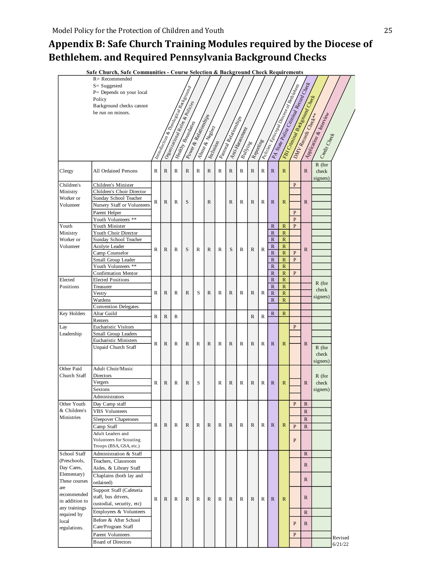## <span id="page-25-0"></span>**Appendix B: Safe Church Training Modules required by the Diocese of Bethlehem. and Required Pennsylvania Background Checks**

| Safe Church, Safe Communities - Course Selection & Background Check Requirements |                                                    |              |              |              |                                                                         |                      |                  |              |                       |               |              |              |                                         |                               |                                                                                  |                      |                          |         |
|----------------------------------------------------------------------------------|----------------------------------------------------|--------------|--------------|--------------|-------------------------------------------------------------------------|----------------------|------------------|--------------|-----------------------|---------------|--------------|--------------|-----------------------------------------|-------------------------------|----------------------------------------------------------------------------------|----------------------|--------------------------|---------|
|                                                                                  | $R =$ Recommended                                  |              |              |              |                                                                         |                      |                  |              |                       |               |              |              |                                         |                               | PA State Poince Chinama Resinance<br>Tenicolas Entrapan Documento de Ministropia |                      |                          |         |
|                                                                                  | $S = S$ uggested                                   |              |              |              | <b>Introduction of Thempson Manual Seconds</b>                          |                      |                  |              |                       |               |              |              |                                         |                               |                                                                                  |                      |                          |         |
|                                                                                  | P= Depends on your local<br>Policy                 |              |              |              |                                                                         |                      |                  |              |                       |               |              |              |                                         |                               |                                                                                  |                      |                          |         |
|                                                                                  | Background checks cannot                           |              |              |              |                                                                         |                      |                  |              |                       |               |              |              |                                         |                               |                                                                                  |                      |                          |         |
|                                                                                  | be run on minors.                                  |              |              |              |                                                                         |                      |                  |              |                       |               |              |              |                                         |                               |                                                                                  |                      |                          |         |
|                                                                                  |                                                    |              |              |              |                                                                         |                      |                  |              |                       |               |              |              |                                         |                               |                                                                                  |                      |                          |         |
|                                                                                  |                                                    |              |              |              |                                                                         |                      |                  |              |                       |               |              |              |                                         |                               |                                                                                  |                      |                          |         |
|                                                                                  |                                                    |              |              |              |                                                                         |                      |                  |              |                       |               |              |              |                                         |                               |                                                                                  |                      |                          |         |
|                                                                                  |                                                    |              |              |              |                                                                         |                      |                  |              |                       |               |              |              |                                         |                               |                                                                                  |                      |                          |         |
|                                                                                  |                                                    |              |              |              |                                                                         |                      | Inclusion        |              |                       | Bullying      | Reportinge   |              |                                         |                               |                                                                                  |                      | Credit Check             |         |
|                                                                                  |                                                    |              |              |              | <b>O estatistico para Rules de Posticies</b><br><b>Healthy Boundary</b> | I Power & Reddington | I Abuse & Negley |              | Antonia Relationships | Anti-Harsoner |              |              |                                         |                               | Eng Criminal Background Check                                                    | DINV Records Check++ | Application & Interprise |         |
| Clergy                                                                           | All Ordained Persons                               | R            | $\mathbb{R}$ | R            | $\mathbb{R}$                                                            | R                    | $\mathbb{R}$     | R            | R                     | R             | $\mathbb{R}$ | $\mathbb{R}$ | $\mathbb{R}$                            | $\mathbb{R}$                  |                                                                                  | $\mathbb{R}$         | $R$ (for<br>check        |         |
|                                                                                  |                                                    |              |              |              |                                                                         |                      |                  |              |                       |               |              |              |                                         |                               |                                                                                  |                      | signers)                 |         |
| Children's                                                                       | Children's Minister                                |              |              |              |                                                                         |                      |                  |              |                       |               |              |              |                                         |                               | ${\bf P}$                                                                        |                      |                          |         |
| Ministry                                                                         | Children's Choir Director                          |              |              |              |                                                                         |                      |                  |              |                       |               |              |              |                                         |                               |                                                                                  |                      |                          |         |
| Worker or                                                                        | Sunday School Teacher                              | R            | $\mathbb{R}$ | R            | S                                                                       |                      | $\mathbb{R}$     |              | R                     | R             | $\mathbb{R}$ | R            | $\mathbb{R}$                            | $\mathbb{R}$                  |                                                                                  | $\mathbb{R}$         |                          |         |
| Volunteer                                                                        | Nursery Staff or Volunteers                        |              |              |              |                                                                         |                      |                  |              |                       |               |              |              |                                         |                               |                                                                                  |                      |                          |         |
|                                                                                  | Parent Helper                                      |              |              |              |                                                                         |                      |                  |              |                       |               |              |              |                                         |                               | P                                                                                |                      |                          |         |
| Youth                                                                            | Youth Volunteers **<br>Youth Minister              |              |              |              |                                                                         |                      |                  |              |                       |               |              |              | $\mathbb{R}$                            | $\mathbb{R}$                  | $\mathbf{P}$<br>$\mathbf{P}$                                                     |                      |                          |         |
| Ministry                                                                         | Youth Choir Director                               |              |              |              |                                                                         |                      |                  |              |                       |               |              |              | $\mathbb{R}$                            | $\mathbb{R}$                  |                                                                                  |                      |                          |         |
| Worker or                                                                        | Sunday School Teacher                              |              |              |              |                                                                         |                      |                  |              |                       |               |              |              | $\mathbb{R}$                            | $\mathbb{R}$                  |                                                                                  |                      |                          |         |
| Volunteer                                                                        | Acolyte Leader                                     | R            | $\mathbb{R}$ | R            | S                                                                       | R                    | R                | $\mathbb{R}$ | S                     | R             | $\mathbb{R}$ | $\mathbb{R}$ | $\mathbb{R}$                            | $\mathbb{R}$                  |                                                                                  | $\mathbb{R}$         |                          |         |
|                                                                                  | Camp Counselor                                     |              |              |              |                                                                         |                      |                  |              |                       |               |              |              | $\mathbb{R}$                            | $\mathbb{R}$                  | P                                                                                |                      |                          |         |
|                                                                                  | Small Group Leader                                 |              |              |              |                                                                         |                      |                  |              |                       |               |              |              | $\mathbb{R}$                            | $\mathbb{R}$                  | $\mathbf{P}$                                                                     |                      |                          |         |
|                                                                                  | Youth Volunteers **<br><b>Confirmation Mentor</b>  |              |              |              |                                                                         |                      |                  |              |                       |               |              |              | $\mathbb{R}$<br>$\overline{\mathsf{R}}$ | ${\mathbb R}$<br>$\mathbb{R}$ | $\mathbf{P}$                                                                     |                      |                          |         |
| Elected                                                                          | <b>Elected Positions</b>                           |              |              |              |                                                                         |                      |                  |              |                       |               |              |              | $\mathbb{R}$                            | $\mathbb{R}$                  |                                                                                  |                      |                          |         |
| Positions                                                                        | Treasurer                                          |              |              |              |                                                                         |                      |                  |              |                       |               |              |              | $\overline{\mathsf{R}}$                 | $\mathbb{R}$                  |                                                                                  |                      | $R$ (for                 |         |
|                                                                                  | Vestry                                             | R            | $\mathbb{R}$ | $\mathbb{R}$ | $\mathbb{R}$                                                            | S                    | $\mathbb{R}$     | R            | $\mathbb{R}$          | R             | $\mathbb{R}$ | $\mathbb R$  | $\mathbb{R}$                            | $\mathbb{R}$                  |                                                                                  |                      | check<br>signers)        |         |
|                                                                                  | Wardens                                            |              |              |              |                                                                         |                      |                  |              |                       |               |              |              | $\mathbb{R}$                            | $\mathbb{R}$                  |                                                                                  |                      |                          |         |
|                                                                                  | <b>Convention Delegates</b>                        |              |              |              |                                                                         |                      |                  |              |                       |               |              |              |                                         |                               |                                                                                  |                      |                          |         |
| Key Holders                                                                      | Altar Guild<br>Renters                             | R            | $\mathbb{R}$ | R            |                                                                         |                      |                  |              |                       |               | $\mathbb{R}$ | $\mathbb{R}$ | $\mathbb{R}$                            | $\mathbb{R}$                  |                                                                                  |                      |                          |         |
| Lay                                                                              | <b>Eucharistic Visitors</b>                        |              |              |              |                                                                         |                      |                  |              |                       |               |              |              |                                         |                               | P                                                                                |                      |                          |         |
| Leadership                                                                       | Small Group Leaders                                |              |              |              |                                                                         |                      |                  |              |                       |               |              |              |                                         |                               |                                                                                  |                      |                          |         |
|                                                                                  | <b>Eucharistic Ministers</b>                       | R            | $\mathbb{R}$ | $\mathbb{R}$ | $\mathbb{R}$                                                            | R                    | $\mathbb{R}$     | $\mathbb{R}$ | $\mathbb{R}$          | R             | $\mathbb{R}$ | $\mathbb{R}$ | $\mathbb{R}$                            | $\mathbb{R}$                  |                                                                                  | R                    |                          |         |
|                                                                                  | Unpaid Church Staff                                |              |              |              |                                                                         |                      |                  |              |                       |               |              |              |                                         |                               |                                                                                  |                      | $R$ (for                 |         |
|                                                                                  |                                                    |              |              |              |                                                                         |                      |                  |              |                       |               |              |              |                                         |                               |                                                                                  |                      | check                    |         |
|                                                                                  | <b>Adult Choir/Music</b>                           |              |              |              |                                                                         |                      |                  |              |                       |               |              |              |                                         |                               |                                                                                  |                      | signers)                 |         |
| Other Paid<br>Church Staff                                                       | <b>Directors</b>                                   |              |              |              |                                                                         |                      |                  |              |                       |               |              |              |                                         |                               |                                                                                  |                      |                          |         |
|                                                                                  | Vergers                                            | R            | $\mathbb{R}$ | R            | $\mathbb{R}$                                                            | S                    |                  | R            | $\mathbb{R}$          | R             | $\mathbb{R}$ | R            | $\mathbb{R}$                            | $\mathbb{R}$                  |                                                                                  | $\mathbb{R}$         | $R$ (for<br>check        |         |
|                                                                                  | Sextons                                            |              |              |              |                                                                         |                      |                  |              |                       |               |              |              |                                         |                               |                                                                                  |                      | signers)                 |         |
|                                                                                  | Administrators                                     |              |              |              |                                                                         |                      |                  |              |                       |               |              |              |                                         |                               |                                                                                  |                      |                          |         |
| Other Youth                                                                      | Day Camp staff                                     |              |              |              |                                                                         |                      |                  |              |                       |               |              |              |                                         |                               | ${\bf P}$                                                                        | $\mathbb{R}$         |                          |         |
| & Children's                                                                     | <b>VBS</b> Volunteers                              |              |              |              |                                                                         |                      |                  |              |                       |               |              |              |                                         |                               |                                                                                  | $\mathbb{R}$         |                          |         |
| Ministries                                                                       | Sleepover Chaperones                               |              |              |              |                                                                         |                      |                  |              |                       |               |              |              |                                         |                               |                                                                                  | $\mathbb{R}$         |                          |         |
|                                                                                  | Camp Staff                                         | R            | R            | R            | $\mathbb{R}$                                                            | R                    | $\mathbb{R}$     | R            | R                     | R             | $\mathbb{R}$ | R            | $\mathbb{R}$                            | $\mathbb{R}$                  | $\mathbf{P}$                                                                     | $\mathbb{R}$         |                          |         |
|                                                                                  | Adult Leaders and                                  |              |              |              |                                                                         |                      |                  |              |                       |               |              |              |                                         |                               |                                                                                  |                      |                          |         |
|                                                                                  | Volunteers for Scouting<br>Troops (BSA, GSA, etc.) |              |              |              |                                                                         |                      |                  |              |                       |               |              |              |                                         |                               | P                                                                                |                      |                          |         |
| School Staff                                                                     | Administration & Staff                             |              |              |              |                                                                         |                      |                  |              |                       |               |              |              |                                         |                               |                                                                                  | $\mathbb{R}$         |                          |         |
| (Preschools,                                                                     | Teachers, Classroom                                |              |              |              |                                                                         |                      |                  |              |                       |               |              |              |                                         |                               |                                                                                  |                      |                          |         |
| Day Cares,                                                                       | Aides, & Library Staff                             |              |              |              |                                                                         |                      |                  |              |                       |               |              |              |                                         |                               |                                                                                  | $\mathbb{R}$         |                          |         |
| Elementary)                                                                      | Chaplains (both lay and                            |              |              |              |                                                                         |                      |                  |              |                       |               |              |              |                                         |                               |                                                                                  |                      |                          |         |
| These courses                                                                    | ordained)                                          |              |              |              |                                                                         |                      |                  |              |                       |               |              |              |                                         |                               |                                                                                  | $\mathbb{R}$         |                          |         |
| are                                                                              | Support Staff (Cafeteria                           |              |              |              |                                                                         |                      |                  |              |                       |               |              |              |                                         |                               |                                                                                  |                      |                          |         |
| recommended<br>in addition to                                                    | staff, bus drivers,                                | $\mathbb{R}$ | $\mathbb{R}$ | R            | $\mathbb{R}$                                                            | R                    | $\mathbb{R}$     | $\mathbb{R}$ | $\mathbb{R}$          | R             | $\mathbb{R}$ | $\mathbb{R}$ | $\mathbb{R}$                            | $\mathbb{R}$                  |                                                                                  | $\mathbb{R}$         |                          |         |
| any trainings                                                                    | custodial, security, etc)                          |              |              |              |                                                                         |                      |                  |              |                       |               |              |              |                                         |                               |                                                                                  |                      |                          |         |
| required by                                                                      | Employees & Volunteers                             |              |              |              |                                                                         |                      |                  |              |                       |               |              |              |                                         |                               |                                                                                  | $\mathbb{R}$         |                          |         |
| local                                                                            | Before & After School                              |              |              |              |                                                                         |                      |                  |              |                       |               |              |              |                                         |                               | P                                                                                | $\mathbb{R}$         |                          |         |
| regulations.                                                                     | Care/Program Staff                                 |              |              |              |                                                                         |                      |                  |              |                       |               |              |              |                                         |                               |                                                                                  |                      |                          |         |
|                                                                                  | Parent Volunteers                                  |              |              |              |                                                                         |                      |                  |              |                       |               |              |              |                                         |                               | ${\bf P}$                                                                        |                      |                          | Revised |
|                                                                                  | <b>Board of Directors</b>                          |              |              |              |                                                                         |                      |                  |              |                       |               |              |              |                                         |                               |                                                                                  |                      |                          | 6/21/22 |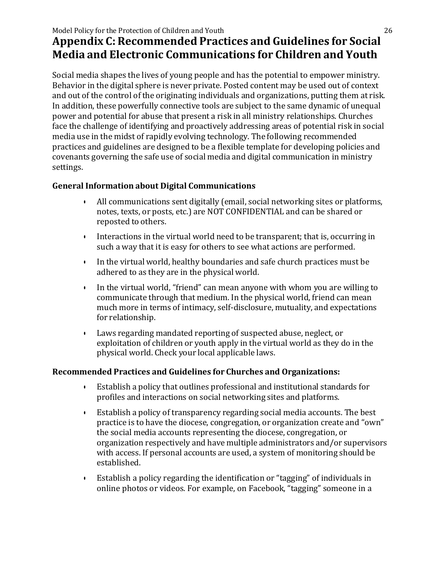### Model Policy for the Protection of Children and Youth 26 **Appendix C: Recommended Practices and Guidelines for Social Media and Electronic Communications for Children and Youth**

Social media shapes the lives of young people and has the potential to empower ministry. Behavior in the digital sphere is never private. Posted content may be used out of context and out of the control of the originating individuals and organizations, putting them at risk. In addition, these powerfully connective tools are subject to the same dynamic of unequal power and potential for abuse that present a risk in all ministry relationships. Churches face the challenge of identifying and proactively addressing areas of potential risk in social media use in the midst of rapidly evolving technology. The following recommended practices and guidelines are designed to be a flexible template for developing policies and covenants governing the safe use of social media and digital communication in ministry settings.

#### **General Information about Digital Communications**

- All communications sent digitally (email, social networking sites or platforms, notes, texts, or posts, etc.) are NOT CONFIDENTIAL and can be shared or reposted to others.
- Interactions in the virtual world need to be transparent; that is, occurring in such a way that it is easy for others to see what actions are performed.
- In the virtual world, healthy boundaries and safe church practices must be adhered to as they are in the physical world.
- In the virtual world, "friend" can mean anyone with whom you are willing to communicate through that medium. In the physical world, friend can mean much more in terms of intimacy, self-disclosure, mutuality, and expectations for relationship.
- Laws regarding mandated reporting of suspected abuse, neglect, or exploitation of children or youth apply in the virtual world as they do in the physical world. Check your local applicable laws.

#### **Recommended Practices and Guidelines for Churches and Organizations:**

- Establish a policy that outlines professional and institutional standards for profiles and interactions on social networking sites and platforms.
- Establish a policy of transparency regarding social media accounts. The best practice is to have the diocese, congregation, or organization create and "own" the social media accounts representing the diocese, congregation, or organization respectively and have multiple administrators and/or supervisors with access. If personal accounts are used, a system of monitoring should be established.
- Establish a policy regarding the identification or "tagging" of individuals in online photos or videos. For example, on Facebook, "tagging" someone in a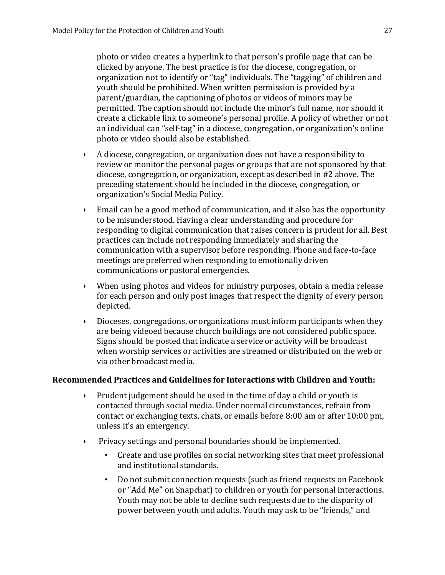photo or video creates a hyperlink to that person's profile page that can be clicked by anyone. The best practice is for the diocese, congregation, or organization not to identify or "tag" individuals. The "tagging" of children and youth should be prohibited. When written permission is provided by a parent/guardian, the captioning of photos or videos of minors may be permitted. The caption should not include the minor's full name, nor should it create a clickable link to someone's personal profile. A policy of whether or not an individual can "self-tag" in a diocese, congregation, or organization's online photo or video should also be established.

- A diocese, congregation, or organization does not have a responsibility to review or monitor the personal pages or groups that are not sponsored by that diocese, congregation, or organization, except as described in #2 above. The preceding statement should be included in the diocese, congregation, or organization's Social Media Policy.
- Email can be a good method of communication, and it also has the opportunity to be misunderstood. Having a clear understanding and procedure for responding to digital communication that raises concern is prudent for all. Best practices can include not responding immediately and sharing the communication with a supervisor before responding. Phone and face-to-face meetings are preferred when responding to emotionally driven communications or pastoral emergencies.
- When using photos and videos for ministry purposes, obtain a media release for each person and only post images that respect the dignity of every person depicted.
- Dioceses, congregations, or organizations must inform participants when they are being videoed because church buildings are not considered public space. Signs should be posted that indicate a service or activity will be broadcast when worship services or activities are streamed or distributed on the web or via other broadcast media.

#### **Recommended Practices and Guidelines for Interactions with Children and Youth:**

- Prudent judgement should be used in the time of day a child or youth is contacted through social media. Under normal circumstances, refrain from contact or exchanging texts, chats, or emails before 8:00 am or after 10:00 pm, unless it's an emergency.
- Privacy settings and personal boundaries should be implemented.
	- Create and use profiles on social networking sites that meet professional and institutional standards.
	- Do not submit connection requests (such as friend requests on Facebook or "Add Me" on Snapchat) to children or youth for personal interactions. Youth may not be able to decline such requests due to the disparity of power between youth and adults. Youth may ask to be "friends," and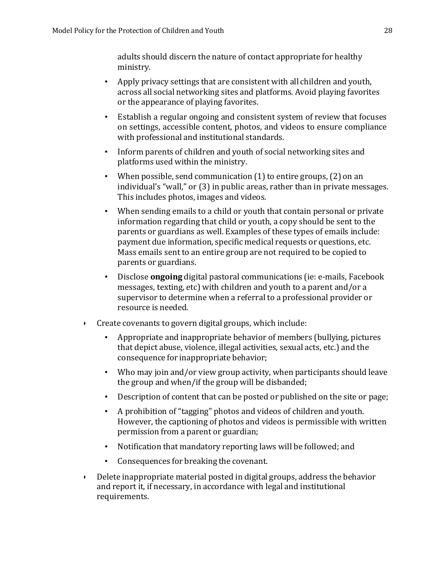adults should discern the nature of contact appropriate for healthy ministry.

- Apply privacy settings that are consistent with all children and youth, across all social networking sites and platforms. Avoid playing favorites or the appearance of playing favorites.
- Establish a regular ongoing and consistent system of review that focuses on settings, accessible content, photos, and videos to ensure compliance with professional and institutional standards.
- Inform parents of children and youth of social networking sites and platforms used within the ministry.
- When possible, send communication  $(1)$  to entire groups,  $(2)$  on an individual's "wall," or (3) in public areas, rather than in private messages. This includes photos, images and videos.
- When sending emails to a child or youth that contain personal or private information regarding that child or youth, a copy should be sent to the parents or guardians as well. Examples of these types of emails include: payment due information, specific medical requests or questions, etc. Mass emails sent to an entire group are not required to be copied to parents or guardians.
- Disclose **ongoing** digital pastoral communications (ie: e-mails, Facebook messages, texting, etc) with children and youth to a parent and/or a supervisor to determine when a referral to a professional provider or resource is needed.
- Create covenants to govern digital groups, which include:
	- Appropriate and inappropriate behavior of members (bullying, pictures that depict abuse, violence, illegal activities, sexual acts, etc.) and the consequence for inappropriate behavior;
	- Who may join and/or view group activity, when participants should leave the group and when/if the group will be disbanded;
	- Description of content that can be posted or published on the site or page;
	- A prohibition of "tagging" photos and videos of children and youth. However, the captioning of photos and videos is permissible with written permission from a parent or guardian;
	- Notification that mandatory reporting laws will be followed; and
	- Consequences for breaking the covenant.
- Delete inappropriate material posted in digital groups, address the behavior and report it, if necessary, in accordance with legal and institutional requirements.